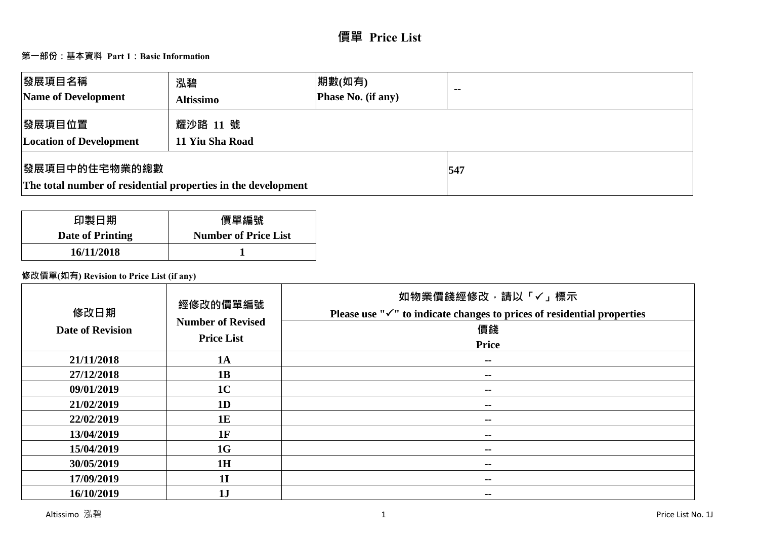# **第一部份:基本資料 Part 1:Basic Information**

| 發展項目名稱<br>Name of Development                                                         | 泓碧<br><b>Altissimo</b>      | 期數(如有)<br>Phase No. (if any) | $\sim$ $\sim$ |
|---------------------------------------------------------------------------------------|-----------------------------|------------------------------|---------------|
| 發展項目位置<br><b>Location of Development</b>                                              | 耀沙路 11 號<br>11 Yiu Sha Road |                              |               |
| <b>慢展項目中的住宅物業的總數</b><br>The total number of residential properties in the development |                             | 547                          |               |

| 印製日期                    | 價單編號                        |
|-------------------------|-----------------------------|
| <b>Date of Printing</b> | <b>Number of Price List</b> |
| 16/11/2018              |                             |

# **修改價單(如有) Revision to Price List (if any)**

| 修改日期<br><b>Date of Revision</b> | 經修改的價單編號<br><b>Number of Revised</b><br><b>Price List</b> | 如物業價錢經修改,請以「√」標示<br>Please use " $\checkmark$ " to indicate changes to prices of residential properties<br>價錢<br><b>Price</b> |
|---------------------------------|-----------------------------------------------------------|-------------------------------------------------------------------------------------------------------------------------------|
| 21/11/2018                      | 1A                                                        | $- -$                                                                                                                         |
| 27/12/2018                      | 1B                                                        | $\sim$ $\sim$                                                                                                                 |
| 09/01/2019                      | 1 <sub>C</sub>                                            | $- -$                                                                                                                         |
| 21/02/2019                      | 1D                                                        | $\sim$ $\sim$                                                                                                                 |
| 22/02/2019                      | 1E                                                        | $\sim$ $\sim$                                                                                                                 |
| 13/04/2019                      | 1F                                                        | $\sim$                                                                                                                        |
| 15/04/2019                      | 1G                                                        | $\sim$ $\sim$                                                                                                                 |
| 30/05/2019                      | 1H                                                        | $\sim$ $\sim$                                                                                                                 |
| 17/09/2019                      | 1 <sub>I</sub>                                            | $- -$                                                                                                                         |
| 16/10/2019                      | 1J                                                        | $\sim$ $\sim$                                                                                                                 |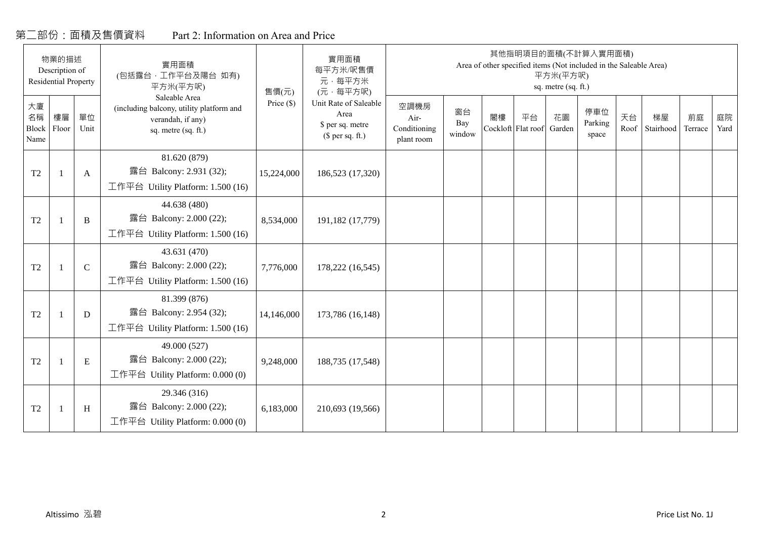# 第二部份:面積及售價資料

|  | Part 2: Information on Area and Price |  |  |
|--|---------------------------------------|--|--|
|--|---------------------------------------|--|--|

| 物業的描述<br>Description of<br><b>Residential Property</b><br>大廈 | 實用面積<br>(包括露台,工作平台及陽台 如有)<br>平方米(平方呎)<br>Saleable Area | 售價(元)         | 實用面積<br>每平方米/呎售價<br>元·每平方米<br>(元·每平方呎)                                               | 其他指明項目的面積(不計算入實用面積)<br>Area of other specified items (Not included in the Saleable Area)<br>平方米(平方呎)<br>sq. metre (sq. ft.) |                                                                       |                                            |                     |                          |    |              |                         |            |                 |               |            |
|--------------------------------------------------------------|--------------------------------------------------------|---------------|--------------------------------------------------------------------------------------|-----------------------------------------------------------------------------------------------------------------------------|-----------------------------------------------------------------------|--------------------------------------------|---------------------|--------------------------|----|--------------|-------------------------|------------|-----------------|---------------|------------|
| 名稱<br>Block<br>Name                                          | 樓層<br>Floor                                            | 單位<br>Unit    | (including balcony, utility platform and<br>verandah, if any)<br>sq. metre (sq. ft.) | Price $(\$)$                                                                                                                | Unit Rate of Saleable<br>Area<br>\$ per sq. metre<br>$$$ per sq. ft.) | 空調機房<br>Air-<br>Conditioning<br>plant room | 窗台<br>Bay<br>window | 閣樓<br>Cockloft Flat roof | 平台 | 花園<br>Garden | 停車位<br>Parking<br>space | 天台<br>Roof | 梯屋<br>Stairhood | 前庭<br>Terrace | 庭院<br>Yard |
| T <sub>2</sub>                                               | $\mathbf{1}$                                           | A             | 81.620 (879)<br>露台 Balcony: 2.931 (32);<br>工作平台 Utility Platform: 1.500 (16)         | 15,224,000                                                                                                                  | 186,523 (17,320)                                                      |                                            |                     |                          |    |              |                         |            |                 |               |            |
| T <sub>2</sub>                                               | $\overline{1}$                                         | B             | 44.638 (480)<br>露台 Balcony: 2.000 (22);<br>工作平台 Utility Platform: 1.500 (16)         | 8,534,000                                                                                                                   | 191,182 (17,779)                                                      |                                            |                     |                          |    |              |                         |            |                 |               |            |
| T <sub>2</sub>                                               | $\mathbf{1}$                                           | $\mathcal{C}$ | 43.631 (470)<br>露台 Balcony: 2.000 (22);<br>工作平台 Utility Platform: 1.500 (16)         | 7,776,000                                                                                                                   | 178,222 (16,545)                                                      |                                            |                     |                          |    |              |                         |            |                 |               |            |
| T2                                                           | $\overline{1}$                                         | D             | 81.399 (876)<br>露台 Balcony: 2.954 (32);<br>工作平台 Utility Platform: 1.500 (16)         | 14,146,000                                                                                                                  | 173,786 (16,148)                                                      |                                            |                     |                          |    |              |                         |            |                 |               |            |
| T <sub>2</sub>                                               | $\mathbf{1}$                                           | E             | 49.000 (527)<br>露台 Balcony: 2.000 (22);<br>工作平台 Utility Platform: $0.000(0)$         | 9,248,000                                                                                                                   | 188,735 (17,548)                                                      |                                            |                     |                          |    |              |                         |            |                 |               |            |
| T2                                                           | $\overline{1}$                                         | H             | 29.346 (316)<br>露台 Balcony: 2.000 (22);<br>工作平台 Utility Platform: 0.000 (0)          | 6,183,000                                                                                                                   | 210,693 (19,566)                                                      |                                            |                     |                          |    |              |                         |            |                 |               |            |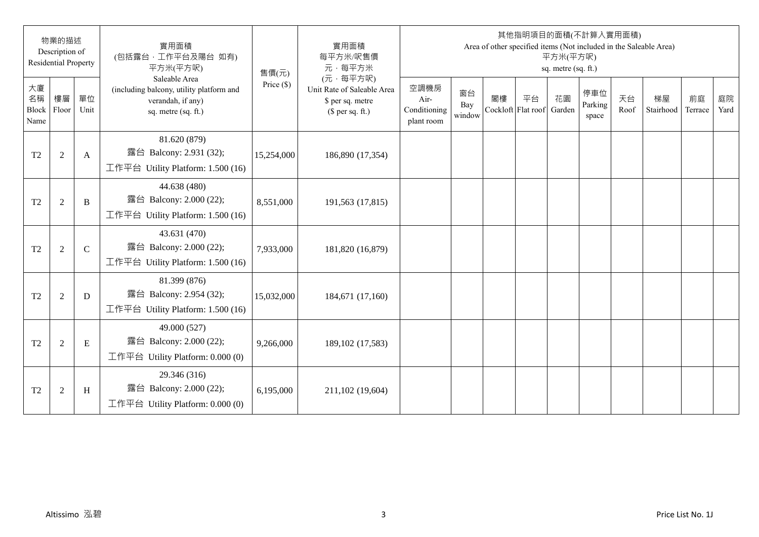|                           | 物業的描述<br>Description of<br><b>Residential Property</b> |               | 實用面積<br>(包括露台,工作平台及陽台 如有)<br>平方米(平方呎)                                                                 | 售價(元)        | 實用面積<br>每平方米/呎售價<br>元·每平方米                                                     |                                            |                     |    | 其他指明項目的面積(不計算入實用面積)      | 平方米(平方呎)<br>sq. metre (sq. ft.) |                         |            | Area of other specified items (Not included in the Saleable Area) |               |            |
|---------------------------|--------------------------------------------------------|---------------|-------------------------------------------------------------------------------------------------------|--------------|--------------------------------------------------------------------------------|--------------------------------------------|---------------------|----|--------------------------|---------------------------------|-------------------------|------------|-------------------------------------------------------------------|---------------|------------|
| 大廈<br>名稱<br>Block<br>Name | 樓層<br>Floor                                            | 單位<br>Unit    | Saleable Area<br>(including balcony, utility platform and<br>verandah, if any)<br>sq. metre (sq. ft.) | Price $(\$)$ | (元·每平方呎)<br>Unit Rate of Saleable Area<br>\$ per sq. metre<br>$$$ per sq. ft.) | 空調機房<br>Air-<br>Conditioning<br>plant room | 窗台<br>Bay<br>window | 閣樓 | 平台<br>Cockloft Flat roof | 花園<br>Garden                    | 停車位<br>Parking<br>space | 天台<br>Roof | 梯屋<br>Stairhood                                                   | 前庭<br>Terrace | 庭院<br>Yard |
| T <sub>2</sub>            | $\overline{2}$                                         | $\mathbf{A}$  | 81.620 (879)<br>露台 Balcony: 2.931 (32);<br>工作平台 Utility Platform: 1.500 (16)                          | 15,254,000   | 186,890 (17,354)                                                               |                                            |                     |    |                          |                                 |                         |            |                                                                   |               |            |
| T <sub>2</sub>            | $\overline{2}$                                         | B             | 44.638 (480)<br>露台 Balcony: 2.000 (22);<br>工作平台 Utility Platform: 1.500 (16)                          | 8,551,000    | 191,563 (17,815)                                                               |                                            |                     |    |                          |                                 |                         |            |                                                                   |               |            |
| T <sub>2</sub>            | $\overline{2}$                                         | $\mathcal{C}$ | 43.631 (470)<br>露台 Balcony: 2.000 (22);<br>工作平台 Utility Platform: $1.500(16)$                         | 7,933,000    | 181,820 (16,879)                                                               |                                            |                     |    |                          |                                 |                         |            |                                                                   |               |            |
| T <sub>2</sub>            | $\overline{2}$                                         | D             | 81.399 (876)<br>露台 Balcony: 2.954 (32);<br>工作平台 Utility Platform: $1.500(16)$                         | 15,032,000   | 184,671 (17,160)                                                               |                                            |                     |    |                          |                                 |                         |            |                                                                   |               |            |
| T <sub>2</sub>            | $\overline{2}$                                         | $\mathbf E$   | 49.000 (527)<br>露台 Balcony: 2.000 (22);<br>工作平台 Utility Platform: $0.000(0)$                          | 9,266,000    | 189, 102 (17, 583)                                                             |                                            |                     |    |                          |                                 |                         |            |                                                                   |               |            |
| T <sub>2</sub>            | $\overline{2}$                                         | H             | 29.346 (316)<br>露台 Balcony: 2.000 (22);<br>工作平台 Utility Platform: $0.000(0)$                          | 6,195,000    | 211,102 (19,604)                                                               |                                            |                     |    |                          |                                 |                         |            |                                                                   |               |            |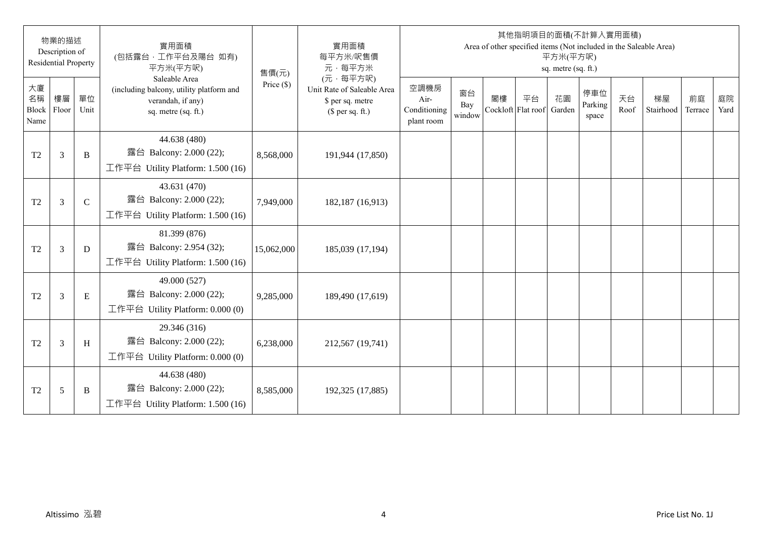|                           | 物業的描述<br>Description of<br><b>Residential Property</b> |              | 實用面積<br>(包括露台,工作平台及陽台 如有)<br>平方米(平方呎)                                                                 | 售價(元)        | 實用面積<br>每平方米/呎售價<br>元·每平方米                                                     |                                            |                     |    | 其他指明項目的面積(不計算入實用面積)      | 平方米(平方呎)<br>sq. metre (sq. ft.) |                         |            | Area of other specified items (Not included in the Saleable Area) |               |            |
|---------------------------|--------------------------------------------------------|--------------|-------------------------------------------------------------------------------------------------------|--------------|--------------------------------------------------------------------------------|--------------------------------------------|---------------------|----|--------------------------|---------------------------------|-------------------------|------------|-------------------------------------------------------------------|---------------|------------|
| 大廈<br>名稱<br>Block<br>Name | 樓層<br>Floor                                            | 單位<br>Unit   | Saleable Area<br>(including balcony, utility platform and<br>verandah, if any)<br>sq. metre (sq. ft.) | Price $(\$)$ | (元·每平方呎)<br>Unit Rate of Saleable Area<br>\$ per sq. metre<br>$$$ per sq. ft.) | 空調機房<br>Air-<br>Conditioning<br>plant room | 窗台<br>Bay<br>window | 閣樓 | 平台<br>Cockloft Flat roof | 花園<br>Garden                    | 停車位<br>Parking<br>space | 天台<br>Roof | 梯屋<br>Stairhood                                                   | 前庭<br>Terrace | 庭院<br>Yard |
| T <sub>2</sub>            | 3                                                      | B            | 44.638 (480)<br>露台 Balcony: 2.000 (22);<br>工作平台 Utility Platform: 1.500 (16)                          | 8,568,000    | 191,944 (17,850)                                                               |                                            |                     |    |                          |                                 |                         |            |                                                                   |               |            |
| T <sub>2</sub>            | 3                                                      | $\mathsf{C}$ | 43.631 (470)<br>露台 Balcony: 2.000 (22);<br>工作平台 Utility Platform: 1.500 (16)                          | 7,949,000    | 182,187 (16,913)                                                               |                                            |                     |    |                          |                                 |                         |            |                                                                   |               |            |
| T <sub>2</sub>            | 3                                                      | D            | 81.399 (876)<br>露台 Balcony: 2.954 (32);<br>工作平台 Utility Platform: $1.500(16)$                         | 15,062,000   | 185,039 (17,194)                                                               |                                            |                     |    |                          |                                 |                         |            |                                                                   |               |            |
| T <sub>2</sub>            | 3                                                      | $\mathbf E$  | 49.000 (527)<br>露台 Balcony: 2.000 (22);<br>工作平台 Utility Platform: $0.000(0)$                          | 9,285,000    | 189,490 (17,619)                                                               |                                            |                     |    |                          |                                 |                         |            |                                                                   |               |            |
| T <sub>2</sub>            | 3                                                      | H            | 29.346 (316)<br>露台 Balcony: 2.000 (22);<br>工作平台 Utility Platform: $0.000(0)$                          | 6,238,000    | 212,567 (19,741)                                                               |                                            |                     |    |                          |                                 |                         |            |                                                                   |               |            |
| T <sub>2</sub>            | 5                                                      | B            | 44.638 (480)<br>露台 Balcony: 2.000 (22);<br>工作平台 Utility Platform: 1.500 (16)                          | 8,585,000    | 192,325 (17,885)                                                               |                                            |                     |    |                          |                                 |                         |            |                                                                   |               |            |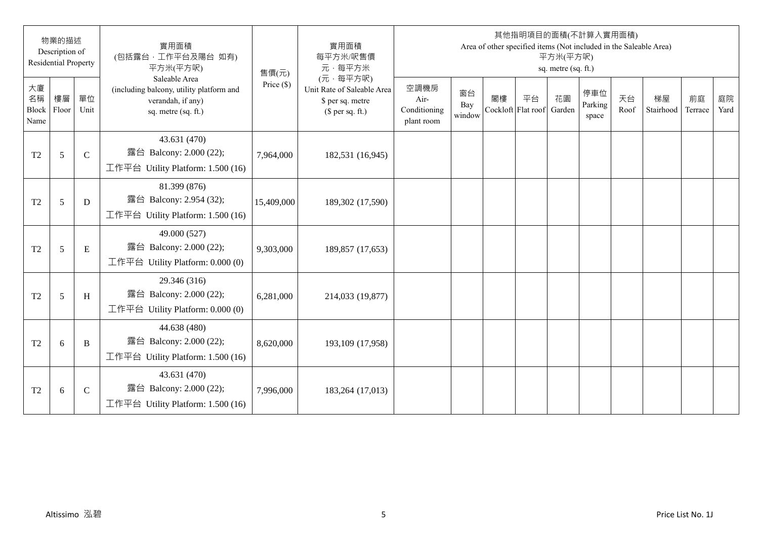|                           | 物業的描述<br>Description of<br><b>Residential Property</b> |               | 實用面積<br>(包括露台,工作平台及陽台 如有)<br>平方米(平方呎)                                                                 | 售價(元)        | 實用面積<br>每平方米/呎售價<br>元·每平方米                                                     |                                            |                     |    | 其他指明項目的面積(不計算入實用面積)<br>Area of other specified items (Not included in the Saleable Area) | 平方米(平方呎)<br>sq. metre (sq. ft.) |                         |            |                 |               |            |
|---------------------------|--------------------------------------------------------|---------------|-------------------------------------------------------------------------------------------------------|--------------|--------------------------------------------------------------------------------|--------------------------------------------|---------------------|----|------------------------------------------------------------------------------------------|---------------------------------|-------------------------|------------|-----------------|---------------|------------|
| 大廈<br>名稱<br>Block<br>Name | 樓層<br>Floor                                            | 單位<br>Unit    | Saleable Area<br>(including balcony, utility platform and<br>verandah, if any)<br>sq. metre (sq. ft.) | Price $(\$)$ | (元·每平方呎)<br>Unit Rate of Saleable Area<br>\$ per sq. metre<br>$$$ per sq. ft.) | 空調機房<br>Air-<br>Conditioning<br>plant room | 窗台<br>Bay<br>window | 閣樓 | 平台<br>Cockloft Flat roof                                                                 | 花園<br>Garden                    | 停車位<br>Parking<br>space | 天台<br>Roof | 梯屋<br>Stairhood | 前庭<br>Terrace | 庭院<br>Yard |
| T <sub>2</sub>            | 5                                                      | $\mathcal{C}$ | 43.631 (470)<br>露台 Balcony: 2.000 (22);<br>工作平台 Utility Platform: 1.500 (16)                          | 7,964,000    | 182,531 (16,945)                                                               |                                            |                     |    |                                                                                          |                                 |                         |            |                 |               |            |
| T <sub>2</sub>            | 5                                                      | D             | 81.399 (876)<br>露台 Balcony: 2.954 (32);<br>工作平台 Utility Platform: 1.500 (16)                          | 15,409,000   | 189,302 (17,590)                                                               |                                            |                     |    |                                                                                          |                                 |                         |            |                 |               |            |
| T <sub>2</sub>            | 5                                                      | $\mathbf E$   | 49.000 (527)<br>露台 Balcony: 2.000 (22);<br>工作平台 Utility Platform: $0.000(0)$                          | 9,303,000    | 189,857 (17,653)                                                               |                                            |                     |    |                                                                                          |                                 |                         |            |                 |               |            |
| T <sub>2</sub>            | 5                                                      | H             | 29.346 (316)<br>露台 Balcony: 2.000 (22);<br>工作平台 Utility Platform: 0.000 (0)                           | 6,281,000    | 214,033 (19,877)                                                               |                                            |                     |    |                                                                                          |                                 |                         |            |                 |               |            |
| T <sub>2</sub>            | 6                                                      | B             | 44.638 (480)<br>露台 Balcony: 2.000 (22);<br>工作平台 Utility Platform: 1.500 (16)                          | 8,620,000    | 193,109 (17,958)                                                               |                                            |                     |    |                                                                                          |                                 |                         |            |                 |               |            |
| T <sub>2</sub>            | 6                                                      | $\mathsf{C}$  | 43.631 (470)<br>露台 Balcony: 2.000 (22);<br>工作平台 Utility Platform: $1.500(16)$                         | 7,996,000    | 183,264 (17,013)                                                               |                                            |                     |    |                                                                                          |                                 |                         |            |                 |               |            |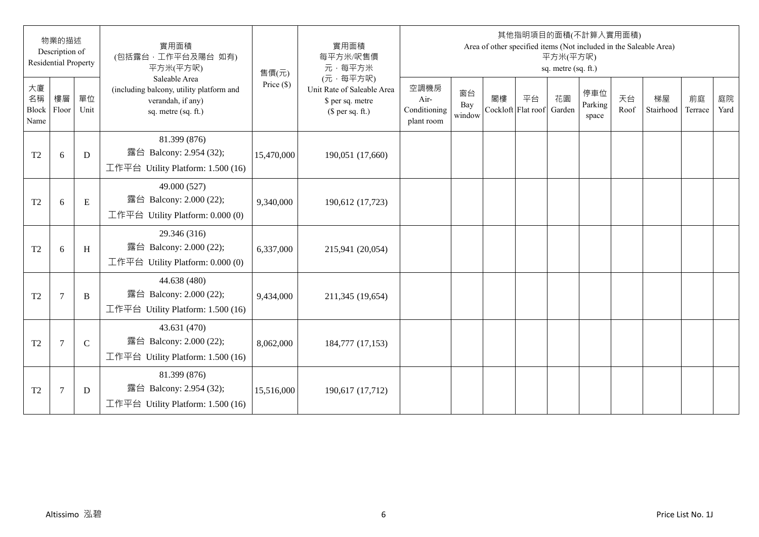|                           | 物業的描述<br>Description of<br><b>Residential Property</b> |              | 實用面積<br>(包括露台,工作平台及陽台 如有)<br>平方米(平方呎)                                                                 | 售價(元)        | 實用面積<br>每平方米/呎售價<br>元·每平方米                                                     |                                            |                     |    | 其他指明項目的面積(不計算入實用面積)      | 平方米(平方呎)<br>sq. metre (sq. ft.) |                         |            | Area of other specified items (Not included in the Saleable Area) |               |            |
|---------------------------|--------------------------------------------------------|--------------|-------------------------------------------------------------------------------------------------------|--------------|--------------------------------------------------------------------------------|--------------------------------------------|---------------------|----|--------------------------|---------------------------------|-------------------------|------------|-------------------------------------------------------------------|---------------|------------|
| 大廈<br>名稱<br>Block<br>Name | 樓層<br>Floor                                            | 單位<br>Unit   | Saleable Area<br>(including balcony, utility platform and<br>verandah, if any)<br>sq. metre (sq. ft.) | Price $(\$)$ | (元·每平方呎)<br>Unit Rate of Saleable Area<br>\$ per sq. metre<br>$$$ per sq. ft.) | 空調機房<br>Air-<br>Conditioning<br>plant room | 窗台<br>Bay<br>window | 閣樓 | 平台<br>Cockloft Flat roof | 花園<br>Garden                    | 停車位<br>Parking<br>space | 天台<br>Roof | 梯屋<br>Stairhood                                                   | 前庭<br>Terrace | 庭院<br>Yard |
| T <sub>2</sub>            | 6                                                      | D            | 81.399 (876)<br>露台 Balcony: 2.954 (32);<br>工作平台 Utility Platform: 1.500 (16)                          | 15,470,000   | 190,051 (17,660)                                                               |                                            |                     |    |                          |                                 |                         |            |                                                                   |               |            |
| T <sub>2</sub>            | 6                                                      | $\mathbf E$  | 49.000 (527)<br>露台 Balcony: 2.000 (22);<br>工作平台 Utility Platform: 0.000 (0)                           | 9,340,000    | 190,612 (17,723)                                                               |                                            |                     |    |                          |                                 |                         |            |                                                                   |               |            |
| T <sub>2</sub>            | 6                                                      | H            | 29.346 (316)<br>露台 Balcony: 2.000 (22);<br>工作平台 Utility Platform: 0.000 (0)                           | 6,337,000    | 215,941 (20,054)                                                               |                                            |                     |    |                          |                                 |                         |            |                                                                   |               |            |
| T <sub>2</sub>            | $\overline{7}$                                         | B            | 44.638 (480)<br>露台 Balcony: 2.000 (22);<br>工作平台 Utility Platform: 1.500 (16)                          | 9,434,000    | 211,345 (19,654)                                                               |                                            |                     |    |                          |                                 |                         |            |                                                                   |               |            |
| T <sub>2</sub>            | $\overline{7}$                                         | $\mathsf{C}$ | 43.631 (470)<br>露台 Balcony: 2.000 (22);<br>工作平台 Utility Platform: $1.500(16)$                         | 8,062,000    | 184,777 (17,153)                                                               |                                            |                     |    |                          |                                 |                         |            |                                                                   |               |            |
| T <sub>2</sub>            | $\overline{7}$                                         | D            | 81.399 (876)<br>露台 Balcony: 2.954 (32);<br>工作平台 Utility Platform: 1.500 (16)                          | 15,516,000   | 190,617 (17,712)                                                               |                                            |                     |    |                          |                                 |                         |            |                                                                   |               |            |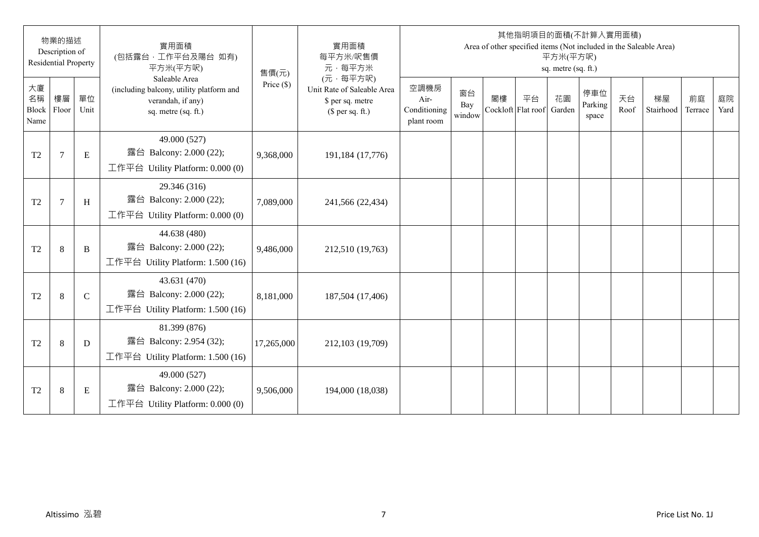|                           | 物業的描述<br>Description of<br><b>Residential Property</b> |              | 實用面積<br>(包括露台,工作平台及陽台 如有)<br>平方米(平方呎)                                                                 | 售價(元)        | 實用面積<br>每平方米/呎售價<br>元·每平方米                                                     |                                            |                     |    | 其他指明項目的面積(不計算入實用面積)      | 平方米(平方呎)<br>sq. metre (sq. ft.) |                         |            | Area of other specified items (Not included in the Saleable Area) |               |            |
|---------------------------|--------------------------------------------------------|--------------|-------------------------------------------------------------------------------------------------------|--------------|--------------------------------------------------------------------------------|--------------------------------------------|---------------------|----|--------------------------|---------------------------------|-------------------------|------------|-------------------------------------------------------------------|---------------|------------|
| 大廈<br>名稱<br>Block<br>Name | 樓層<br>Floor                                            | 單位<br>Unit   | Saleable Area<br>(including balcony, utility platform and<br>verandah, if any)<br>sq. metre (sq. ft.) | Price $(\$)$ | (元·每平方呎)<br>Unit Rate of Saleable Area<br>\$ per sq. metre<br>$$$ per sq. ft.) | 空調機房<br>Air-<br>Conditioning<br>plant room | 窗台<br>Bay<br>window | 閣樓 | 平台<br>Cockloft Flat roof | 花園<br>Garden                    | 停車位<br>Parking<br>space | 天台<br>Roof | 梯屋<br>Stairhood                                                   | 前庭<br>Terrace | 庭院<br>Yard |
| T <sub>2</sub>            | $\tau$                                                 | E            | 49.000 (527)<br>露台 Balcony: 2.000 (22);<br>工作平台 Utility Platform: 0.000 (0)                           | 9,368,000    | 191,184 (17,776)                                                               |                                            |                     |    |                          |                                 |                         |            |                                                                   |               |            |
| T <sub>2</sub>            | $\overline{7}$                                         | H            | 29.346 (316)<br>露台 Balcony: 2.000 (22);<br>工作平台 Utility Platform: 0.000 (0)                           | 7,089,000    | 241,566 (22,434)                                                               |                                            |                     |    |                          |                                 |                         |            |                                                                   |               |            |
| T <sub>2</sub>            | 8                                                      | B            | 44.638 (480)<br>露台 Balcony: 2.000 (22);<br>工作平台 Utility Platform: 1.500 (16)                          | 9,486,000    | 212,510 (19,763)                                                               |                                            |                     |    |                          |                                 |                         |            |                                                                   |               |            |
| T <sub>2</sub>            | 8                                                      | $\mathsf{C}$ | 43.631 (470)<br>露台 Balcony: 2.000 (22);<br>工作平台 Utility Platform: $1.500(16)$                         | 8,181,000    | 187,504 (17,406)                                                               |                                            |                     |    |                          |                                 |                         |            |                                                                   |               |            |
| T <sub>2</sub>            | 8                                                      | D            | 81.399 (876)<br>露台 Balcony: 2.954 (32);<br>工作平台 Utility Platform: $1.500(16)$                         | 17,265,000   | 212,103 (19,709)                                                               |                                            |                     |    |                          |                                 |                         |            |                                                                   |               |            |
| T <sub>2</sub>            | 8                                                      | E            | 49.000 (527)<br>露台 Balcony: 2.000 (22);<br>工作平台 Utility Platform: $0.000(0)$                          | 9,506,000    | 194,000 (18,038)                                                               |                                            |                     |    |                          |                                 |                         |            |                                                                   |               |            |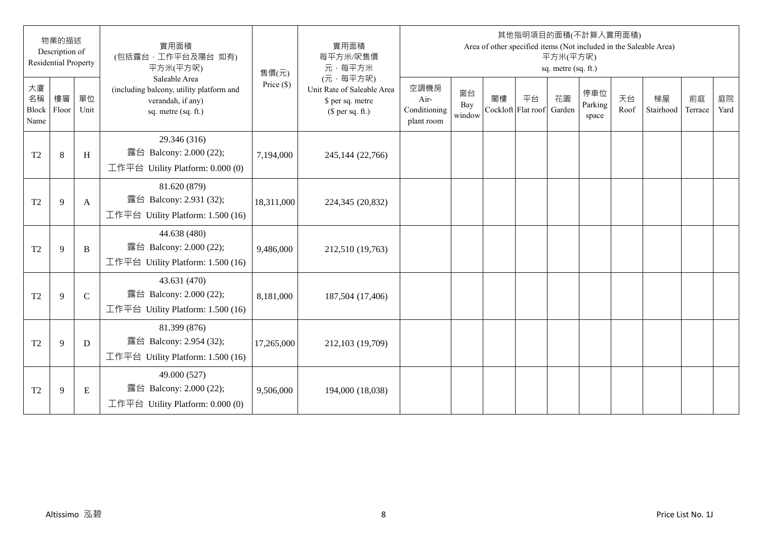|                           | 物業的描述<br>Description of<br><b>Residential Property</b> |              | 實用面積<br>(包括露台,工作平台及陽台 如有)<br>平方米(平方呎)                                                                 | 售價(元)        | 實用面積<br>每平方米/呎售價<br>元·每平方米                                                     |                                            |                     |                          | 其他指明項目的面積(不計算入實用面積) | 平方米(平方呎)<br>sq. metre (sq. ft.) |                         |            | Area of other specified items (Not included in the Saleable Area) |               |            |
|---------------------------|--------------------------------------------------------|--------------|-------------------------------------------------------------------------------------------------------|--------------|--------------------------------------------------------------------------------|--------------------------------------------|---------------------|--------------------------|---------------------|---------------------------------|-------------------------|------------|-------------------------------------------------------------------|---------------|------------|
| 大廈<br>名稱<br>Block<br>Name | 樓層<br>Floor                                            | 單位<br>Unit   | Saleable Area<br>(including balcony, utility platform and<br>verandah, if any)<br>sq. metre (sq. ft.) | Price $(\$)$ | (元·每平方呎)<br>Unit Rate of Saleable Area<br>\$ per sq. metre<br>$$$ per sq. ft.) | 空調機房<br>Air-<br>Conditioning<br>plant room | 窗台<br>Bay<br>window | 閣樓<br>Cockloft Flat roof | 平台                  | 花園<br>Garden                    | 停車位<br>Parking<br>space | 天台<br>Roof | 梯屋<br>Stairhood                                                   | 前庭<br>Terrace | 庭院<br>Yard |
| T <sub>2</sub>            | 8                                                      | H            | 29.346 (316)<br>露台 Balcony: 2.000 (22);<br>工作平台 Utility Platform: $0.000(0)$                          | 7,194,000    | 245,144 (22,766)                                                               |                                            |                     |                          |                     |                                 |                         |            |                                                                   |               |            |
| T <sub>2</sub>            | 9                                                      | A            | 81.620 (879)<br>露台 Balcony: 2.931 (32);<br>工作平台 Utility Platform: 1.500 (16)                          | 18,311,000   | 224,345 (20,832)                                                               |                                            |                     |                          |                     |                                 |                         |            |                                                                   |               |            |
| T <sub>2</sub>            | 9                                                      | B            | 44.638 (480)<br>露台 Balcony: 2.000 (22);<br>工作平台 Utility Platform: $1.500(16)$                         | 9,486,000    | 212,510 (19,763)                                                               |                                            |                     |                          |                     |                                 |                         |            |                                                                   |               |            |
| T <sub>2</sub>            | 9                                                      | $\mathsf{C}$ | 43.631 (470)<br>露台 Balcony: 2.000 (22);<br>工作平台 Utility Platform: 1.500 (16)                          | 8,181,000    | 187,504 (17,406)                                                               |                                            |                     |                          |                     |                                 |                         |            |                                                                   |               |            |
| T <sub>2</sub>            | 9                                                      | D            | 81.399 (876)<br>露台 Balcony: 2.954 (32);<br>工作平台 Utility Platform: 1.500 (16)                          | 17,265,000   | 212,103 (19,709)                                                               |                                            |                     |                          |                     |                                 |                         |            |                                                                   |               |            |
| T <sub>2</sub>            | 9                                                      | E            | 49.000 (527)<br>露台 Balcony: 2.000 (22);<br>工作平台 Utility Platform: $0.000(0)$                          | 9,506,000    | 194,000 (18,038)                                                               |                                            |                     |                          |                     |                                 |                         |            |                                                                   |               |            |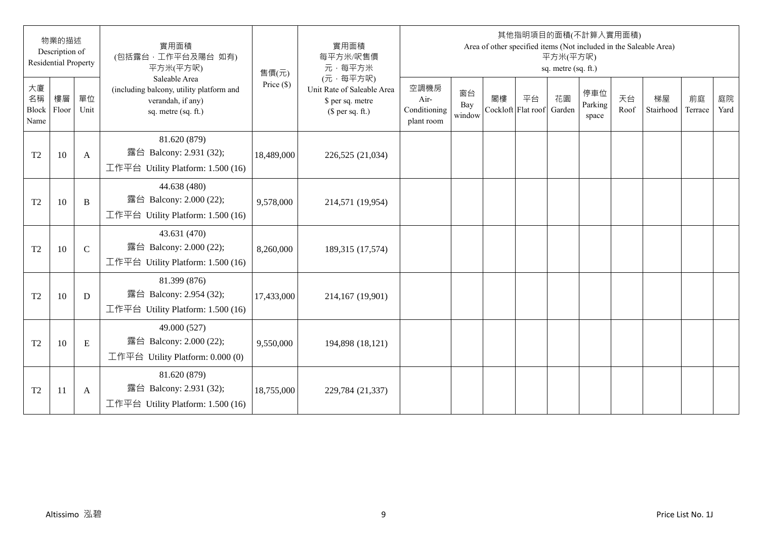|                           | 物業的描述<br>Description of<br><b>Residential Property</b> |              | 實用面積<br>(包括露台,工作平台及陽台 如有)<br>平方米(平方呎)                                                                 | 售價(元)        | 實用面積<br>每平方米/呎售價<br>元·每平方米                                                     |                                            |                     |                          | 其他指明項目的面積(不計算入實用面積) | 平方米(平方呎)<br>sq. metre (sq. ft.) |                         |            | Area of other specified items (Not included in the Saleable Area) |               |            |
|---------------------------|--------------------------------------------------------|--------------|-------------------------------------------------------------------------------------------------------|--------------|--------------------------------------------------------------------------------|--------------------------------------------|---------------------|--------------------------|---------------------|---------------------------------|-------------------------|------------|-------------------------------------------------------------------|---------------|------------|
| 大廈<br>名稱<br>Block<br>Name | 樓層<br>Floor                                            | 單位<br>Unit   | Saleable Area<br>(including balcony, utility platform and<br>verandah, if any)<br>sq. metre (sq. ft.) | Price $(\$)$ | (元·每平方呎)<br>Unit Rate of Saleable Area<br>\$ per sq. metre<br>$$$ per sq. ft.) | 空調機房<br>Air-<br>Conditioning<br>plant room | 窗台<br>Bay<br>window | 閣樓<br>Cockloft Flat roof | 平台                  | 花園<br>Garden                    | 停車位<br>Parking<br>space | 天台<br>Roof | 梯屋<br>Stairhood                                                   | 前庭<br>Terrace | 庭院<br>Yard |
| T <sub>2</sub>            | 10                                                     | $\mathbf{A}$ | 81.620 (879)<br>露台 Balcony: 2.931 (32);<br>工作平台 Utility Platform: 1.500 (16)                          | 18,489,000   | 226,525 (21,034)                                                               |                                            |                     |                          |                     |                                 |                         |            |                                                                   |               |            |
| T <sub>2</sub>            | 10                                                     | B            | 44.638 (480)<br>露台 Balcony: 2.000 (22);<br>工作平台 Utility Platform: 1.500 (16)                          | 9,578,000    | 214,571 (19,954)                                                               |                                            |                     |                          |                     |                                 |                         |            |                                                                   |               |            |
| T <sub>2</sub>            | 10                                                     | $\mathsf{C}$ | 43.631 (470)<br>露台 Balcony: 2.000 (22);<br>工作平台 Utility Platform: $1.500(16)$                         | 8,260,000    | 189,315 (17,574)                                                               |                                            |                     |                          |                     |                                 |                         |            |                                                                   |               |            |
| T <sub>2</sub>            | 10                                                     | D            | 81.399 (876)<br>露台 Balcony: 2.954 (32);<br>工作平台 Utility Platform: 1.500 (16)                          | 17,433,000   | 214,167 (19,901)                                                               |                                            |                     |                          |                     |                                 |                         |            |                                                                   |               |            |
| T <sub>2</sub>            | 10                                                     | ${\bf E}$    | 49.000 (527)<br>露台 Balcony: 2.000 (22);<br>工作平台 Utility Platform: $0.000(0)$                          | 9,550,000    | 194,898 (18,121)                                                               |                                            |                     |                          |                     |                                 |                         |            |                                                                   |               |            |
| T <sub>2</sub>            | 11                                                     | A            | 81.620 (879)<br>露台 Balcony: 2.931 (32);<br>工作平台 Utility Platform: $1.500(16)$                         | 18,755,000   | 229,784 (21,337)                                                               |                                            |                     |                          |                     |                                 |                         |            |                                                                   |               |            |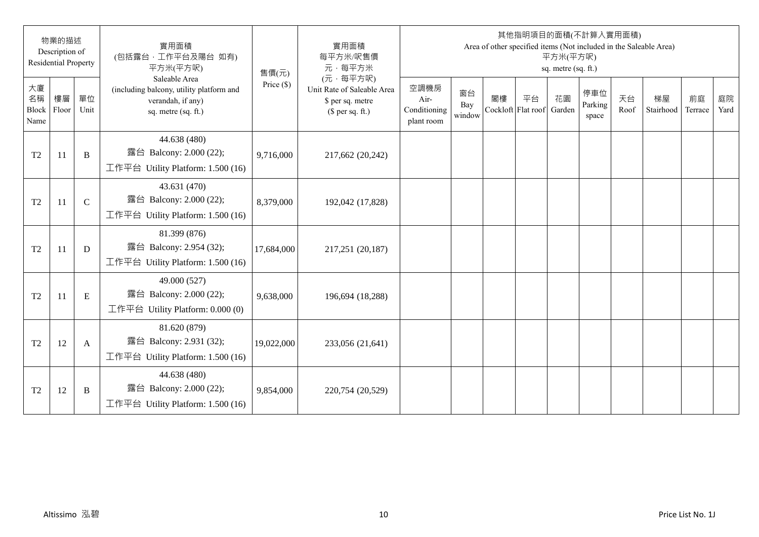|                           | 物業的描述<br>Description of<br><b>Residential Property</b> |              | 實用面積<br>(包括露台,工作平台及陽台 如有)<br>平方米(平方呎)                                                                 | 售價(元)        | 實用面積<br>每平方米/呎售價<br>元·每平方米                                                     |                                            |                     |                          | 其他指明項目的面積(不計算入實用面積) | 平方米(平方呎)<br>sq. metre (sq. ft.) |                         |            | Area of other specified items (Not included in the Saleable Area) |               |            |
|---------------------------|--------------------------------------------------------|--------------|-------------------------------------------------------------------------------------------------------|--------------|--------------------------------------------------------------------------------|--------------------------------------------|---------------------|--------------------------|---------------------|---------------------------------|-------------------------|------------|-------------------------------------------------------------------|---------------|------------|
| 大廈<br>名稱<br>Block<br>Name | 樓層<br>Floor                                            | 單位<br>Unit   | Saleable Area<br>(including balcony, utility platform and<br>verandah, if any)<br>sq. metre (sq. ft.) | Price $(\$)$ | (元·每平方呎)<br>Unit Rate of Saleable Area<br>\$ per sq. metre<br>$$$ per sq. ft.) | 空調機房<br>Air-<br>Conditioning<br>plant room | 窗台<br>Bay<br>window | 閣樓<br>Cockloft Flat roof | 平台                  | 花園<br>Garden                    | 停車位<br>Parking<br>space | 天台<br>Roof | 梯屋<br>Stairhood                                                   | 前庭<br>Terrace | 庭院<br>Yard |
| T <sub>2</sub>            | -11                                                    | B            | 44.638 (480)<br>露台 Balcony: 2.000 (22);<br>工作平台 Utility Platform: 1.500 (16)                          | 9,716,000    | 217,662 (20,242)                                                               |                                            |                     |                          |                     |                                 |                         |            |                                                                   |               |            |
| T <sub>2</sub>            | 11                                                     | $\mathsf{C}$ | 43.631 (470)<br>露台 Balcony: 2.000 (22);<br>工作平台 Utility Platform: 1.500 (16)                          | 8,379,000    | 192,042 (17,828)                                                               |                                            |                     |                          |                     |                                 |                         |            |                                                                   |               |            |
| T <sub>2</sub>            | 11                                                     | D            | 81.399 (876)<br>露台 Balcony: 2.954 (32);<br>工作平台 Utility Platform: $1.500(16)$                         | 17,684,000   | 217,251 (20,187)                                                               |                                            |                     |                          |                     |                                 |                         |            |                                                                   |               |            |
| T <sub>2</sub>            | 11                                                     | $\mathbf E$  | 49.000 (527)<br>露台 Balcony: 2.000 (22);<br>工作平台 Utility Platform: $0.000(0)$                          | 9,638,000    | 196,694 (18,288)                                                               |                                            |                     |                          |                     |                                 |                         |            |                                                                   |               |            |
| T <sub>2</sub>            | 12                                                     | A            | 81.620 (879)<br>露台 Balcony: 2.931 (32);<br>工作平台 Utility Platform: $1.500(16)$                         | 19,022,000   | 233,056 (21,641)                                                               |                                            |                     |                          |                     |                                 |                         |            |                                                                   |               |            |
| T <sub>2</sub>            | 12                                                     | B            | 44.638 (480)<br>露台 Balcony: 2.000 (22);<br>工作平台 Utility Platform: $1.500(16)$                         | 9,854,000    | 220,754 (20,529)                                                               |                                            |                     |                          |                     |                                 |                         |            |                                                                   |               |            |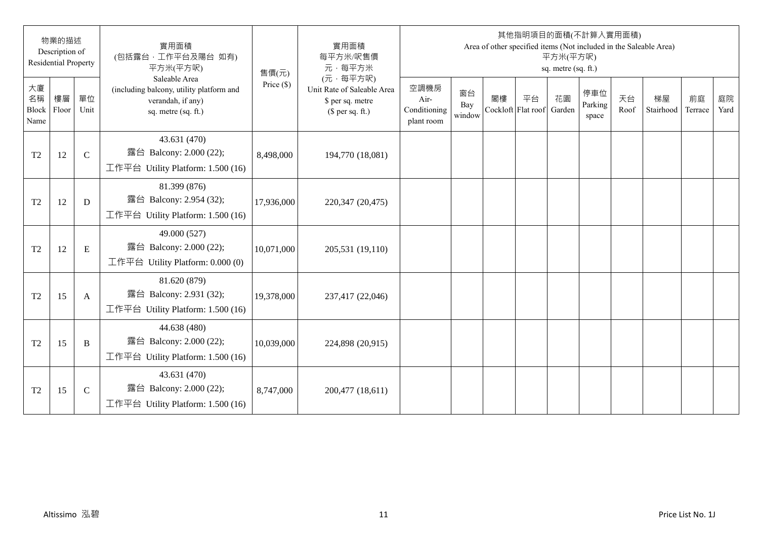|                           | 物業的描述<br>Description of<br><b>Residential Property</b> |              | 實用面積<br>(包括露台,工作平台及陽台 如有)<br>平方米(平方呎)                                                                 | 售價(元)        | 實用面積<br>每平方米/呎售價<br>元·每平方米                                                     |                                            |                     |                          |    | 平方米(平方呎)<br>sq. metre (sq. ft.) | 其他指明項目的面積(不計算入實用面積)     |            | Area of other specified items (Not included in the Saleable Area) |               |            |
|---------------------------|--------------------------------------------------------|--------------|-------------------------------------------------------------------------------------------------------|--------------|--------------------------------------------------------------------------------|--------------------------------------------|---------------------|--------------------------|----|---------------------------------|-------------------------|------------|-------------------------------------------------------------------|---------------|------------|
| 大廈<br>名稱<br>Block<br>Name | 樓層<br>Floor                                            | 單位<br>Unit   | Saleable Area<br>(including balcony, utility platform and<br>verandah, if any)<br>sq. metre (sq. ft.) | Price $(\$)$ | (元·每平方呎)<br>Unit Rate of Saleable Area<br>\$ per sq. metre<br>$$$ per sq. ft.) | 空調機房<br>Air-<br>Conditioning<br>plant room | 窗台<br>Bay<br>window | 閣樓<br>Cockloft Flat roof | 平台 | 花園<br>Garden                    | 停車位<br>Parking<br>space | 天台<br>Roof | 梯屋<br>Stairhood                                                   | 前庭<br>Terrace | 庭院<br>Yard |
| T <sub>2</sub>            | 12                                                     | $\mathsf{C}$ | 43.631 (470)<br>露台 Balcony: 2.000 (22);<br>工作平台 Utility Platform: 1.500 (16)                          | 8,498,000    | 194,770 (18,081)                                                               |                                            |                     |                          |    |                                 |                         |            |                                                                   |               |            |
| T <sub>2</sub>            | 12                                                     | D            | 81.399 (876)<br>露台 Balcony: 2.954 (32);<br>工作平台 Utility Platform: 1.500 (16)                          | 17,936,000   | 220,347 (20,475)                                                               |                                            |                     |                          |    |                                 |                         |            |                                                                   |               |            |
| T <sub>2</sub>            | 12                                                     | ${\bf E}$    | 49.000 (527)<br>露台 Balcony: 2.000 (22);<br>工作平台 Utility Platform: $0.000(0)$                          | 10,071,000   | 205,531 (19,110)                                                               |                                            |                     |                          |    |                                 |                         |            |                                                                   |               |            |
| T <sub>2</sub>            | 15                                                     | A            | 81.620 (879)<br>露台 Balcony: 2.931 (32);<br>工作平台 Utility Platform: 1.500 (16)                          | 19,378,000   | 237,417 (22,046)                                                               |                                            |                     |                          |    |                                 |                         |            |                                                                   |               |            |
| T <sub>2</sub>            | 15                                                     | B            | 44.638 (480)<br>露台 Balcony: 2.000 (22);<br>工作平台 Utility Platform: 1.500 (16)                          | 10,039,000   | 224,898 (20,915)                                                               |                                            |                     |                          |    |                                 |                         |            |                                                                   |               |            |
| T <sub>2</sub>            | 15                                                     | $\mathsf{C}$ | 43.631 (470)<br>露台 Balcony: 2.000 (22);<br>工作平台 Utility Platform: 1.500 (16)                          | 8,747,000    | 200,477 (18,611)                                                               |                                            |                     |                          |    |                                 |                         |            |                                                                   |               |            |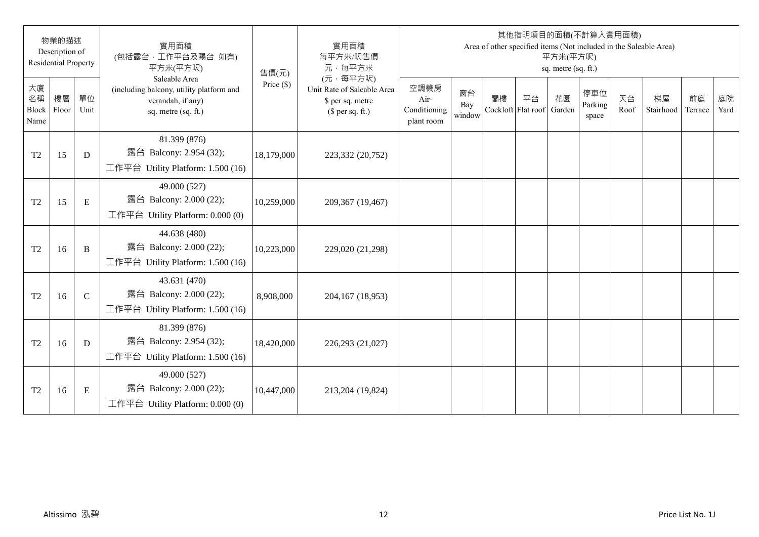|                           | 物業的描述<br>Description of<br><b>Residential Property</b> |              | 實用面積<br>(包括露台,工作平台及陽台 如有)<br>平方米(平方呎)                                                                 | 售價(元)        | 實用面積<br>每平方米/呎售價<br>元·每平方米                                                     |                                            |                     |                          | 其他指明項目的面積(不計算入實用面積) | 平方米(平方呎)<br>sq. metre (sq. ft.) |                         |            | Area of other specified items (Not included in the Saleable Area) |               |            |
|---------------------------|--------------------------------------------------------|--------------|-------------------------------------------------------------------------------------------------------|--------------|--------------------------------------------------------------------------------|--------------------------------------------|---------------------|--------------------------|---------------------|---------------------------------|-------------------------|------------|-------------------------------------------------------------------|---------------|------------|
| 大廈<br>名稱<br>Block<br>Name | 樓層<br>Floor                                            | 單位<br>Unit   | Saleable Area<br>(including balcony, utility platform and<br>verandah, if any)<br>sq. metre (sq. ft.) | Price $(\$)$ | (元·每平方呎)<br>Unit Rate of Saleable Area<br>\$ per sq. metre<br>$$$ per sq. ft.) | 空調機房<br>Air-<br>Conditioning<br>plant room | 窗台<br>Bay<br>window | 閣樓<br>Cockloft Flat roof | 平台                  | 花園<br>Garden                    | 停車位<br>Parking<br>space | 天台<br>Roof | 梯屋<br>Stairhood                                                   | 前庭<br>Terrace | 庭院<br>Yard |
| T <sub>2</sub>            | 15                                                     | D            | 81.399 (876)<br>露台 Balcony: 2.954 (32);<br>工作平台 Utility Platform: 1.500 (16)                          | 18,179,000   | 223,332 (20,752)                                                               |                                            |                     |                          |                     |                                 |                         |            |                                                                   |               |            |
| T <sub>2</sub>            | 15                                                     | $\mathbf E$  | 49.000 (527)<br>露台 Balcony: 2.000 (22);<br>工作平台 Utility Platform: 0.000 (0)                           | 10,259,000   | 209,367 (19,467)                                                               |                                            |                     |                          |                     |                                 |                         |            |                                                                   |               |            |
| T <sub>2</sub>            | 16                                                     | B            | 44.638 (480)<br>露台 Balcony: 2.000 (22);<br>工作平台 Utility Platform: $1.500(16)$                         | 10,223,000   | 229,020 (21,298)                                                               |                                            |                     |                          |                     |                                 |                         |            |                                                                   |               |            |
| T <sub>2</sub>            | 16                                                     | $\mathsf{C}$ | 43.631 (470)<br>露台 Balcony: 2.000 (22);<br>工作平台 Utility Platform: 1.500 (16)                          | 8,908,000    | 204,167 (18,953)                                                               |                                            |                     |                          |                     |                                 |                         |            |                                                                   |               |            |
| T <sub>2</sub>            | 16                                                     | D            | 81.399 (876)<br>露台 Balcony: 2.954 (32);<br>工作平台 Utility Platform: $1.500(16)$                         | 18,420,000   | 226,293 (21,027)                                                               |                                            |                     |                          |                     |                                 |                         |            |                                                                   |               |            |
| T <sub>2</sub>            | 16                                                     | E            | 49.000 (527)<br>露台 Balcony: 2.000 (22);<br>工作平台 Utility Platform: $0.000(0)$                          | 10,447,000   | 213,204 (19,824)                                                               |                                            |                     |                          |                     |                                 |                         |            |                                                                   |               |            |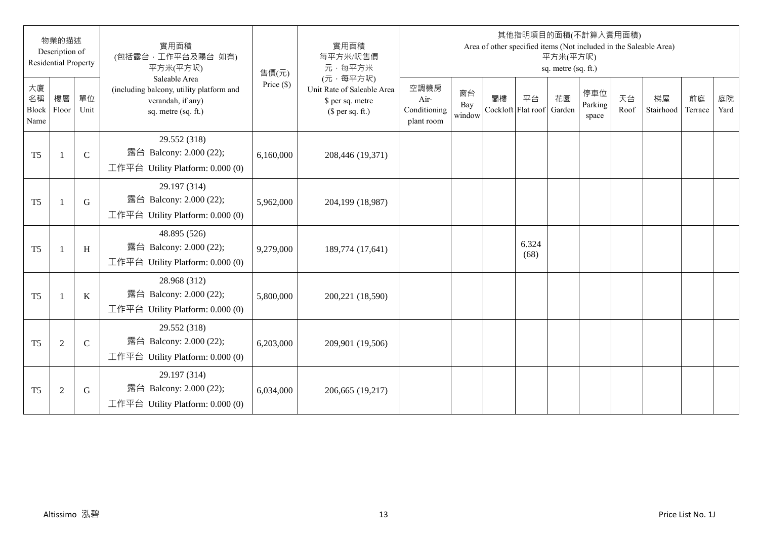|                           | 物業的描述<br>Description of<br><b>Residential Property</b> |              | 實用面積<br>(包括露台,工作平台及陽台 如有)<br>平方米(平方呎)                                                                 | 售價(元)        | 實用面積<br>每平方米/呎售價<br>元·每平方米                                                     |                                            |                     |                          | 其他指明項目的面積(不計算入實用面積) | 平方米(平方呎)<br>sq. metre (sq. ft.) |                         |            | Area of other specified items (Not included in the Saleable Area) |               |            |
|---------------------------|--------------------------------------------------------|--------------|-------------------------------------------------------------------------------------------------------|--------------|--------------------------------------------------------------------------------|--------------------------------------------|---------------------|--------------------------|---------------------|---------------------------------|-------------------------|------------|-------------------------------------------------------------------|---------------|------------|
| 大廈<br>名稱<br>Block<br>Name | 樓層<br>Floor                                            | 單位<br>Unit   | Saleable Area<br>(including balcony, utility platform and<br>verandah, if any)<br>sq. metre (sq. ft.) | Price $(\$)$ | (元·每平方呎)<br>Unit Rate of Saleable Area<br>\$ per sq. metre<br>$$$ per sq. ft.) | 空調機房<br>Air-<br>Conditioning<br>plant room | 窗台<br>Bay<br>window | 閣樓<br>Cockloft Flat roof | 平台                  | 花園<br>Garden                    | 停車位<br>Parking<br>space | 天台<br>Roof | 梯屋<br>Stairhood                                                   | 前庭<br>Terrace | 庭院<br>Yard |
| T <sub>5</sub>            |                                                        | $\mathsf{C}$ | 29.552 (318)<br>露台 Balcony: 2.000 (22);<br>工作平台 Utility Platform: $0.000(0)$                          | 6,160,000    | 208,446 (19,371)                                                               |                                            |                     |                          |                     |                                 |                         |            |                                                                   |               |            |
| T <sub>5</sub>            |                                                        | G            | 29.197 (314)<br>露台 Balcony: 2.000 (22);<br>工作平台 Utility Platform: 0.000 (0)                           | 5,962,000    | 204,199 (18,987)                                                               |                                            |                     |                          |                     |                                 |                         |            |                                                                   |               |            |
| T <sub>5</sub>            |                                                        | H            | 48.895 (526)<br>露台 Balcony: 2.000 (22);<br>工作平台 Utility Platform: $0.000(0)$                          | 9,279,000    | 189,774 (17,641)                                                               |                                            |                     |                          | 6.324<br>(68)       |                                 |                         |            |                                                                   |               |            |
| T <sub>5</sub>            |                                                        | $\bf K$      | 28.968 (312)<br>露台 Balcony: 2.000 (22);<br>工作平台 Utility Platform: $0.000(0)$                          | 5,800,000    | 200,221 (18,590)                                                               |                                            |                     |                          |                     |                                 |                         |            |                                                                   |               |            |
| T <sub>5</sub>            | $\overline{2}$                                         | $\mathbf C$  | 29.552 (318)<br>露台 Balcony: 2.000 (22);<br>工作平台 Utility Platform: $0.000(0)$                          | 6,203,000    | 209,901 (19,506)                                                               |                                            |                     |                          |                     |                                 |                         |            |                                                                   |               |            |
| T <sub>5</sub>            | $\overline{2}$                                         | G            | 29.197 (314)<br>露台 Balcony: 2.000 (22);<br>工作平台 Utility Platform: $0.000(0)$                          | 6,034,000    | 206,665 (19,217)                                                               |                                            |                     |                          |                     |                                 |                         |            |                                                                   |               |            |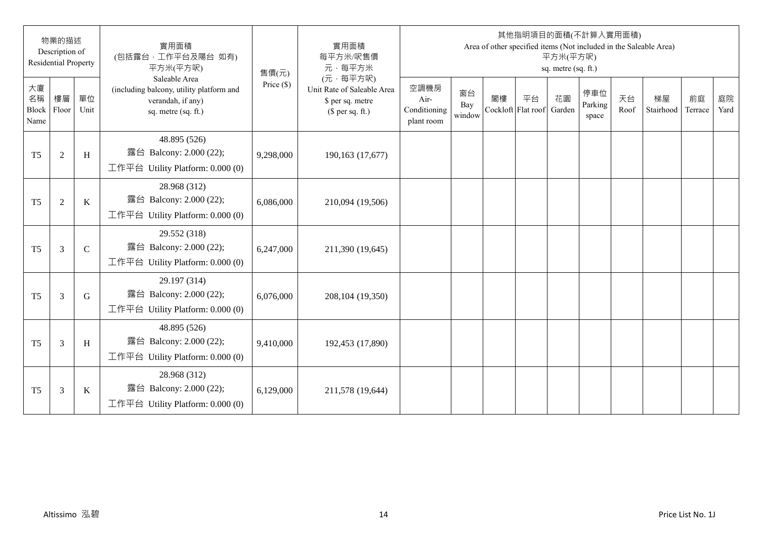|                           | 物業的描述<br>Description of<br><b>Residential Property</b> |              | 實用面積<br>(包括露台,工作平台及陽台 如有)<br>平方米(平方呎)                                                                 | 售價(元)        | 實用面積<br>每平方米/呎售價<br>元·每平方米                                                     |                                            |                     |                          | 其他指明項目的面積(不計算入實用面積) | 平方米(平方呎)<br>sq. metre (sq. ft.) |                         |            | Area of other specified items (Not included in the Saleable Area) |               |            |
|---------------------------|--------------------------------------------------------|--------------|-------------------------------------------------------------------------------------------------------|--------------|--------------------------------------------------------------------------------|--------------------------------------------|---------------------|--------------------------|---------------------|---------------------------------|-------------------------|------------|-------------------------------------------------------------------|---------------|------------|
| 大廈<br>名稱<br>Block<br>Name | 樓層<br>Floor                                            | 單位<br>Unit   | Saleable Area<br>(including balcony, utility platform and<br>verandah, if any)<br>sq. metre (sq. ft.) | Price $(\$)$ | (元·每平方呎)<br>Unit Rate of Saleable Area<br>\$ per sq. metre<br>$$$ per sq. ft.) | 空調機房<br>Air-<br>Conditioning<br>plant room | 窗台<br>Bay<br>window | 閣樓<br>Cockloft Flat roof | 平台                  | 花園<br>Garden                    | 停車位<br>Parking<br>space | 天台<br>Roof | 梯屋<br>Stairhood                                                   | 前庭<br>Terrace | 庭院<br>Yard |
| T <sub>5</sub>            | $\overline{2}$                                         | H            | 48.895 (526)<br>露台 Balcony: 2.000 (22);<br>工作平台 Utility Platform: $0.000(0)$                          | 9,298,000    | 190,163 (17,677)                                                               |                                            |                     |                          |                     |                                 |                         |            |                                                                   |               |            |
| T <sub>5</sub>            | $\overline{2}$                                         | $\bf K$      | 28.968 (312)<br>露台 Balcony: 2.000 (22);<br>工作平台 Utility Platform: 0.000 (0)                           | 6,086,000    | 210,094 (19,506)                                                               |                                            |                     |                          |                     |                                 |                         |            |                                                                   |               |            |
| T <sub>5</sub>            | 3                                                      | $\mathsf{C}$ | 29.552 (318)<br>露台 Balcony: 2.000 (22);<br>工作平台 Utility Platform: $0.000(0)$                          | 6,247,000    | 211,390 (19,645)                                                               |                                            |                     |                          |                     |                                 |                         |            |                                                                   |               |            |
| T <sub>5</sub>            | 3                                                      | G            | 29.197 (314)<br>露台 Balcony: 2.000 (22);<br>工作平台 Utility Platform: 0.000 (0)                           | 6,076,000    | 208,104 (19,350)                                                               |                                            |                     |                          |                     |                                 |                         |            |                                                                   |               |            |
| T <sub>5</sub>            | 3                                                      | H            | 48.895 (526)<br>露台 Balcony: 2.000 (22);<br>工作平台 Utility Platform: 0.000 (0)                           | 9,410,000    | 192,453 (17,890)                                                               |                                            |                     |                          |                     |                                 |                         |            |                                                                   |               |            |
| T <sub>5</sub>            | 3                                                      | K            | 28.968 (312)<br>露台 Balcony: 2.000 (22);<br>工作平台 Utility Platform: $0.000(0)$                          | 6,129,000    | 211,578 (19,644)                                                               |                                            |                     |                          |                     |                                 |                         |            |                                                                   |               |            |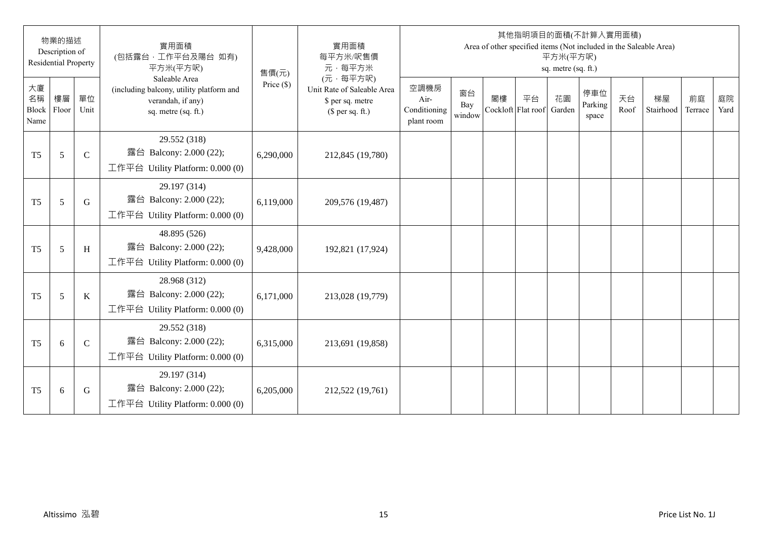|                           | 物業的描述<br>Description of<br><b>Residential Property</b> |              | 實用面積<br>(包括露台,工作平台及陽台 如有)<br>平方米(平方呎)                                                                 | 售價(元)        | 實用面積<br>每平方米/呎售價<br>元·每平方米                                                     |                                            |                     |                          | 其他指明項目的面積(不計算入實用面積) | 平方米(平方呎)<br>sq. metre (sq. ft.) |                         |            | Area of other specified items (Not included in the Saleable Area) |               |            |
|---------------------------|--------------------------------------------------------|--------------|-------------------------------------------------------------------------------------------------------|--------------|--------------------------------------------------------------------------------|--------------------------------------------|---------------------|--------------------------|---------------------|---------------------------------|-------------------------|------------|-------------------------------------------------------------------|---------------|------------|
| 大廈<br>名稱<br>Block<br>Name | 樓層<br>Floor                                            | 單位<br>Unit   | Saleable Area<br>(including balcony, utility platform and<br>verandah, if any)<br>sq. metre (sq. ft.) | Price $(\$)$ | (元·每平方呎)<br>Unit Rate of Saleable Area<br>\$ per sq. metre<br>$$$ per sq. ft.) | 空調機房<br>Air-<br>Conditioning<br>plant room | 窗台<br>Bay<br>window | 閣樓<br>Cockloft Flat roof | 平台                  | 花園<br>Garden                    | 停車位<br>Parking<br>space | 天台<br>Roof | 梯屋<br>Stairhood                                                   | 前庭<br>Terrace | 庭院<br>Yard |
| T <sub>5</sub>            | 5                                                      | $\mathsf{C}$ | 29.552 (318)<br>露台 Balcony: 2.000 (22);<br>工作平台 Utility Platform: $0.000(0)$                          | 6,290,000    | 212,845 (19,780)                                                               |                                            |                     |                          |                     |                                 |                         |            |                                                                   |               |            |
| T <sub>5</sub>            | 5                                                      | G            | 29.197 (314)<br>露台 Balcony: 2.000 (22);<br>工作平台 Utility Platform: 0.000 (0)                           | 6,119,000    | 209,576 (19,487)                                                               |                                            |                     |                          |                     |                                 |                         |            |                                                                   |               |            |
| T <sub>5</sub>            | 5                                                      | H            | 48.895 (526)<br>露台 Balcony: 2.000 (22);<br>工作平台 Utility Platform: $0.000(0)$                          | 9,428,000    | 192,821 (17,924)                                                               |                                            |                     |                          |                     |                                 |                         |            |                                                                   |               |            |
| T <sub>5</sub>            | 5                                                      | $\bf K$      | 28.968 (312)<br>露台 Balcony: 2.000 (22);<br>工作平台 Utility Platform: $0.000(0)$                          | 6,171,000    | 213,028 (19,779)                                                               |                                            |                     |                          |                     |                                 |                         |            |                                                                   |               |            |
| T <sub>5</sub>            | 6                                                      | $\mathbf C$  | 29.552 (318)<br>露台 Balcony: 2.000 (22);<br>工作平台 Utility Platform: $0.000(0)$                          | 6,315,000    | 213,691 (19,858)                                                               |                                            |                     |                          |                     |                                 |                         |            |                                                                   |               |            |
| T <sub>5</sub>            | 6                                                      | G            | 29.197 (314)<br>露台 Balcony: 2.000 (22);<br>工作平台 Utility Platform: $0.000(0)$                          | 6,205,000    | 212,522 (19,761)                                                               |                                            |                     |                          |                     |                                 |                         |            |                                                                   |               |            |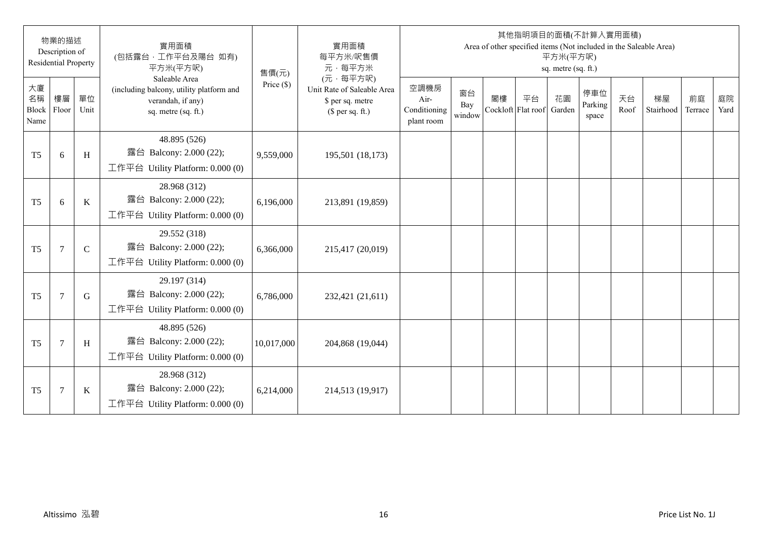|                           | 物業的描述<br>Description of<br><b>Residential Property</b> |               | 實用面積<br>(包括露台,工作平台及陽台 如有)<br>平方米(平方呎)                                                                 | 售價(元)        | 實用面積<br>每平方米/呎售價<br>元·每平方米                                                     |                                            |                     |                          | 其他指明項目的面積(不計算入實用面積) | 平方米(平方呎)<br>sq. metre (sq. ft.) |                         |            | Area of other specified items (Not included in the Saleable Area) |               |            |
|---------------------------|--------------------------------------------------------|---------------|-------------------------------------------------------------------------------------------------------|--------------|--------------------------------------------------------------------------------|--------------------------------------------|---------------------|--------------------------|---------------------|---------------------------------|-------------------------|------------|-------------------------------------------------------------------|---------------|------------|
| 大廈<br>名稱<br>Block<br>Name | 樓層<br>Floor                                            | 單位<br>Unit    | Saleable Area<br>(including balcony, utility platform and<br>verandah, if any)<br>sq. metre (sq. ft.) | Price $(\$)$ | (元·每平方呎)<br>Unit Rate of Saleable Area<br>\$ per sq. metre<br>$$$ per sq. ft.) | 空調機房<br>Air-<br>Conditioning<br>plant room | 窗台<br>Bay<br>window | 閣樓<br>Cockloft Flat roof | 平台                  | 花園<br>Garden                    | 停車位<br>Parking<br>space | 天台<br>Roof | 梯屋<br>Stairhood                                                   | 前庭<br>Terrace | 庭院<br>Yard |
| T <sub>5</sub>            | 6                                                      | H             | 48.895 (526)<br>露台 Balcony: 2.000 (22);<br>工作平台 Utility Platform: $0.000(0)$                          | 9,559,000    | 195,501 (18,173)                                                               |                                            |                     |                          |                     |                                 |                         |            |                                                                   |               |            |
| T <sub>5</sub>            | 6                                                      | $\bf K$       | 28.968 (312)<br>露台 Balcony: 2.000 (22);<br>工作平台 Utility Platform: 0.000 (0)                           | 6,196,000    | 213,891 (19,859)                                                               |                                            |                     |                          |                     |                                 |                         |            |                                                                   |               |            |
| T <sub>5</sub>            | $\tau$                                                 | $\mathcal{C}$ | 29.552 (318)<br>露台 Balcony: 2.000 (22);<br>工作平台 Utility Platform: $0.000(0)$                          | 6,366,000    | 215,417 (20,019)                                                               |                                            |                     |                          |                     |                                 |                         |            |                                                                   |               |            |
| T <sub>5</sub>            | $\overline{7}$                                         | G             | 29.197 (314)<br>露台 Balcony: 2.000 (22);<br>工作平台 Utility Platform: $0.000(0)$                          | 6,786,000    | 232,421 (21,611)                                                               |                                            |                     |                          |                     |                                 |                         |            |                                                                   |               |            |
| T <sub>5</sub>            | $\overline{7}$                                         | H             | 48.895 (526)<br>露台 Balcony: 2.000 (22);<br>工作平台 Utility Platform: $0.000(0)$                          | 10,017,000   | 204,868 (19,044)                                                               |                                            |                     |                          |                     |                                 |                         |            |                                                                   |               |            |
| T <sub>5</sub>            | $\overline{7}$                                         | K             | 28.968 (312)<br>露台 Balcony: 2.000 (22);<br>工作平台 Utility Platform: $0.000(0)$                          | 6,214,000    | 214,513 (19,917)                                                               |                                            |                     |                          |                     |                                 |                         |            |                                                                   |               |            |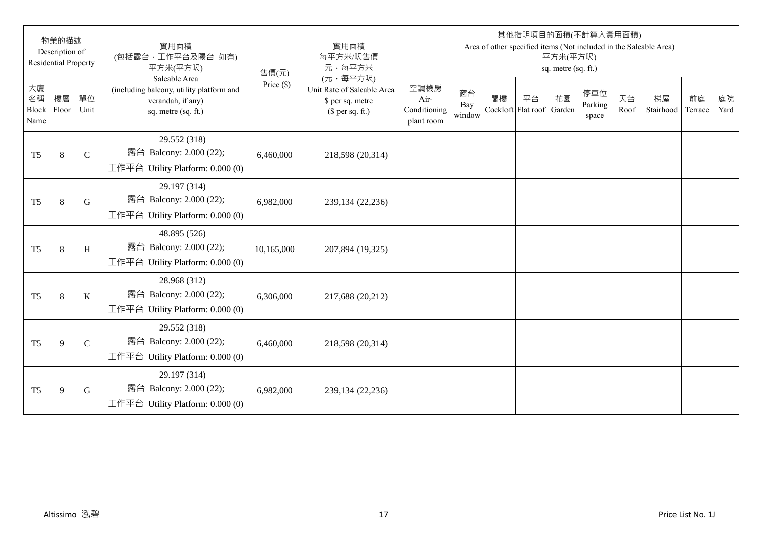|                           | 物業的描述<br>Description of<br><b>Residential Property</b> |              | 實用面積<br>(包括露台,工作平台及陽台 如有)<br>平方米(平方呎)                                                                 | 售價(元)        | 實用面積<br>每平方米/呎售價<br>元·每平方米                                                     |                                            |                     |                          | 其他指明項目的面積(不計算入實用面積) | 平方米(平方呎)<br>sq. metre (sq. ft.) |                         |            | Area of other specified items (Not included in the Saleable Area) |               |            |
|---------------------------|--------------------------------------------------------|--------------|-------------------------------------------------------------------------------------------------------|--------------|--------------------------------------------------------------------------------|--------------------------------------------|---------------------|--------------------------|---------------------|---------------------------------|-------------------------|------------|-------------------------------------------------------------------|---------------|------------|
| 大廈<br>名稱<br>Block<br>Name | 樓層<br>Floor                                            | 單位<br>Unit   | Saleable Area<br>(including balcony, utility platform and<br>verandah, if any)<br>sq. metre (sq. ft.) | Price $(\$)$ | (元·每平方呎)<br>Unit Rate of Saleable Area<br>\$ per sq. metre<br>$$$ per sq. ft.) | 空調機房<br>Air-<br>Conditioning<br>plant room | 窗台<br>Bay<br>window | 閣樓<br>Cockloft Flat roof | 平台                  | 花園<br>Garden                    | 停車位<br>Parking<br>space | 天台<br>Roof | 梯屋<br>Stairhood                                                   | 前庭<br>Terrace | 庭院<br>Yard |
| T <sub>5</sub>            | 8                                                      | $\mathsf{C}$ | 29.552 (318)<br>露台 Balcony: 2.000 (22);<br>工作平台 Utility Platform: $0.000(0)$                          | 6,460,000    | 218,598 (20,314)                                                               |                                            |                     |                          |                     |                                 |                         |            |                                                                   |               |            |
| T <sub>5</sub>            | 8                                                      | G            | 29.197 (314)<br>露台 Balcony: 2.000 (22);<br>工作平台 Utility Platform: 0.000 (0)                           | 6,982,000    | 239,134 (22,236)                                                               |                                            |                     |                          |                     |                                 |                         |            |                                                                   |               |            |
| T <sub>5</sub>            | 8                                                      | H            | 48.895 (526)<br>露台 Balcony: 2.000 (22);<br>工作平台 Utility Platform: $0.000(0)$                          | 10,165,000   | 207,894 (19,325)                                                               |                                            |                     |                          |                     |                                 |                         |            |                                                                   |               |            |
| T <sub>5</sub>            | 8                                                      | $\bf K$      | 28.968 (312)<br>露台 Balcony: 2.000 (22);<br>工作平台 Utility Platform: $0.000(0)$                          | 6,306,000    | 217,688 (20,212)                                                               |                                            |                     |                          |                     |                                 |                         |            |                                                                   |               |            |
| T <sub>5</sub>            | 9                                                      | $\mathbf C$  | 29.552 (318)<br>露台 Balcony: 2.000 (22);<br>工作平台 Utility Platform: $0.000(0)$                          | 6,460,000    | 218,598 (20,314)                                                               |                                            |                     |                          |                     |                                 |                         |            |                                                                   |               |            |
| T <sub>5</sub>            | 9                                                      | G            | 29.197 (314)<br>露台 Balcony: 2.000 (22);<br>工作平台 Utility Platform: $0.000(0)$                          | 6,982,000    | 239,134 (22,236)                                                               |                                            |                     |                          |                     |                                 |                         |            |                                                                   |               |            |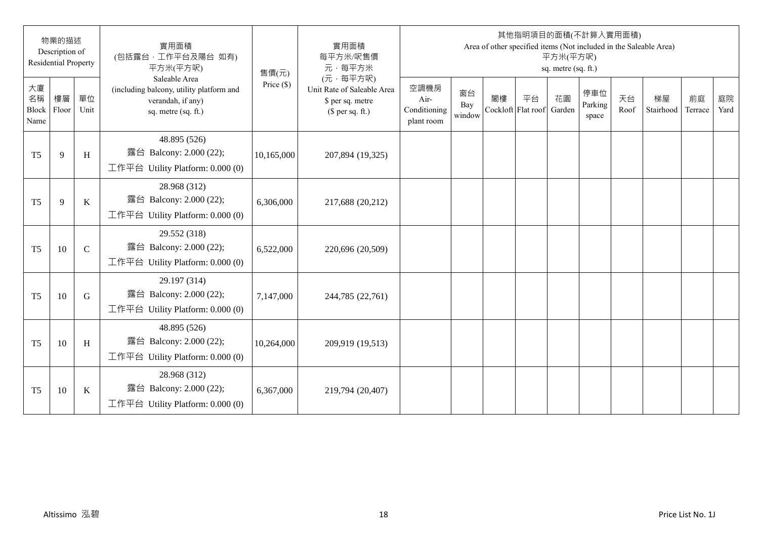|                           | 物業的描述<br>Description of<br><b>Residential Property</b> |              | 實用面積<br>(包括露台,工作平台及陽台 如有)<br>平方米(平方呎)                                                                 | 售價(元)        | 實用面積<br>每平方米/呎售價<br>元·每平方米                                                     |                                            |                     |                          | 其他指明項目的面積(不計算入實用面積) | 平方米(平方呎)<br>sq. metre (sq. ft.) |                         |            | Area of other specified items (Not included in the Saleable Area) |               |            |
|---------------------------|--------------------------------------------------------|--------------|-------------------------------------------------------------------------------------------------------|--------------|--------------------------------------------------------------------------------|--------------------------------------------|---------------------|--------------------------|---------------------|---------------------------------|-------------------------|------------|-------------------------------------------------------------------|---------------|------------|
| 大廈<br>名稱<br>Block<br>Name | 樓層<br>Floor                                            | 單位<br>Unit   | Saleable Area<br>(including balcony, utility platform and<br>verandah, if any)<br>sq. metre (sq. ft.) | Price $(\$)$ | (元·每平方呎)<br>Unit Rate of Saleable Area<br>\$ per sq. metre<br>$$$ per sq. ft.) | 空調機房<br>Air-<br>Conditioning<br>plant room | 窗台<br>Bay<br>window | 閣樓<br>Cockloft Flat roof | 平台                  | 花園<br>Garden                    | 停車位<br>Parking<br>space | 天台<br>Roof | 梯屋<br>Stairhood                                                   | 前庭<br>Terrace | 庭院<br>Yard |
| T <sub>5</sub>            | 9                                                      | H            | 48.895 (526)<br>露台 Balcony: 2.000 (22);<br>工作平台 Utility Platform: $0.000(0)$                          | 10,165,000   | 207,894 (19,325)                                                               |                                            |                     |                          |                     |                                 |                         |            |                                                                   |               |            |
| T <sub>5</sub>            | 9                                                      | $\bf K$      | 28.968 (312)<br>露台 Balcony: 2.000 (22);<br>工作平台 Utility Platform: 0.000 (0)                           | 6,306,000    | 217,688 (20,212)                                                               |                                            |                     |                          |                     |                                 |                         |            |                                                                   |               |            |
| T <sub>5</sub>            | 10                                                     | $\mathsf{C}$ | 29.552 (318)<br>露台 Balcony: 2.000 (22);<br>工作平台 Utility Platform: $0.000(0)$                          | 6,522,000    | 220,696 (20,509)                                                               |                                            |                     |                          |                     |                                 |                         |            |                                                                   |               |            |
| T <sub>5</sub>            | 10                                                     | G            | 29.197 (314)<br>露台 Balcony: 2.000 (22);<br>工作平台 Utility Platform: $0.000(0)$                          | 7,147,000    | 244,785 (22,761)                                                               |                                            |                     |                          |                     |                                 |                         |            |                                                                   |               |            |
| T <sub>5</sub>            | 10                                                     | H            | 48.895 (526)<br>露台 Balcony: 2.000 (22);<br>工作平台 Utility Platform: $0.000(0)$                          | 10,264,000   | 209,919 (19,513)                                                               |                                            |                     |                          |                     |                                 |                         |            |                                                                   |               |            |
| T <sub>5</sub>            | 10                                                     | K            | 28.968 (312)<br>露台 Balcony: 2.000 (22);<br>工作平台 Utility Platform: $0.000(0)$                          | 6,367,000    | 219,794 (20,407)                                                               |                                            |                     |                          |                     |                                 |                         |            |                                                                   |               |            |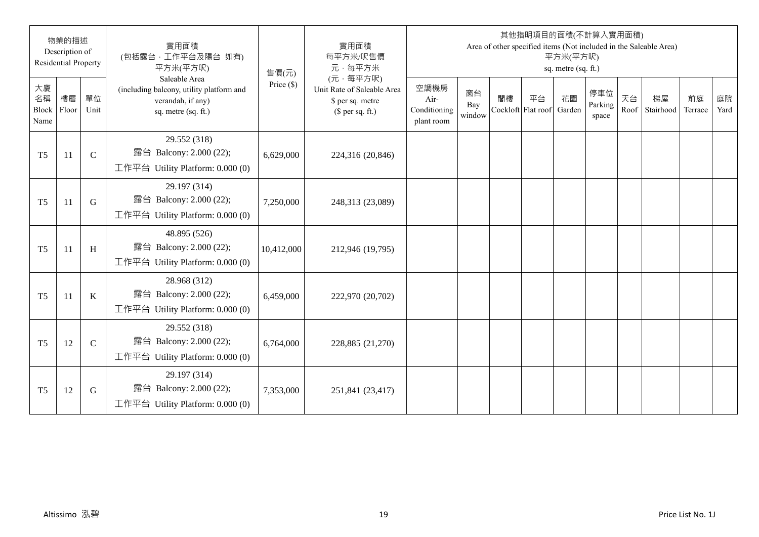|                           | 物業的描述<br>Description of<br><b>Residential Property</b> |              | 實用面積<br>(包括露台,工作平台及陽台 如有)<br>平方米(平方呎)                                                                 | 售價(元)        | 實用面積<br>每平方米/呎售價<br>元·每平方米                                                     |                                            |                     |                          |    | 平方米(平方呎)<br>sq. metre (sq. ft.) | 其他指明項目的面積(不計算入實用面積)     |            | Area of other specified items (Not included in the Saleable Area) |               |            |
|---------------------------|--------------------------------------------------------|--------------|-------------------------------------------------------------------------------------------------------|--------------|--------------------------------------------------------------------------------|--------------------------------------------|---------------------|--------------------------|----|---------------------------------|-------------------------|------------|-------------------------------------------------------------------|---------------|------------|
| 大廈<br>名稱<br>Block<br>Name | 樓層<br>Floor                                            | 單位<br>Unit   | Saleable Area<br>(including balcony, utility platform and<br>verandah, if any)<br>sq. metre (sq. ft.) | Price $(\$)$ | (元·每平方呎)<br>Unit Rate of Saleable Area<br>\$ per sq. metre<br>$$$ per sq. ft.) | 空調機房<br>Air-<br>Conditioning<br>plant room | 窗台<br>Bay<br>window | 閣樓<br>Cockloft Flat roof | 平台 | 花園<br>Garden                    | 停車位<br>Parking<br>space | 天台<br>Roof | 梯屋<br>Stairhood                                                   | 前庭<br>Terrace | 庭院<br>Yard |
| T <sub>5</sub>            | 11                                                     | $\mathbf C$  | 29.552 (318)<br>露台 Balcony: 2.000 (22);<br>工作平台 Utility Platform: 0.000 (0)                           | 6,629,000    | 224,316 (20,846)                                                               |                                            |                     |                          |    |                                 |                         |            |                                                                   |               |            |
| T <sub>5</sub>            | 11                                                     | G            | 29.197 (314)<br>露台 Balcony: 2.000 (22);<br>工作平台 Utility Platform: $0.000(0)$                          | 7,250,000    | 248,313 (23,089)                                                               |                                            |                     |                          |    |                                 |                         |            |                                                                   |               |            |
| T <sub>5</sub>            | 11                                                     | H            | 48.895 (526)<br>露台 Balcony: 2.000 (22);<br>工作平台 Utility Platform: $0.000(0)$                          | 10,412,000   | 212,946 (19,795)                                                               |                                            |                     |                          |    |                                 |                         |            |                                                                   |               |            |
| T <sub>5</sub>            | 11                                                     | K            | 28.968 (312)<br>露台 Balcony: 2.000 (22);<br>工作平台 Utility Platform: $0.000(0)$                          | 6,459,000    | 222,970 (20,702)                                                               |                                            |                     |                          |    |                                 |                         |            |                                                                   |               |            |
| T <sub>5</sub>            | 12                                                     | $\mathsf{C}$ | 29.552 (318)<br>露台 Balcony: 2.000 (22);<br>工作平台 Utility Platform: $0.000(0)$                          | 6,764,000    | 228,885 (21,270)                                                               |                                            |                     |                          |    |                                 |                         |            |                                                                   |               |            |
| T <sub>5</sub>            | 12                                                     | G            | 29.197 (314)<br>露台 Balcony: 2.000 (22);<br>工作平台 Utility Platform: $0.000(0)$                          | 7,353,000    | 251,841 (23,417)                                                               |                                            |                     |                          |    |                                 |                         |            |                                                                   |               |            |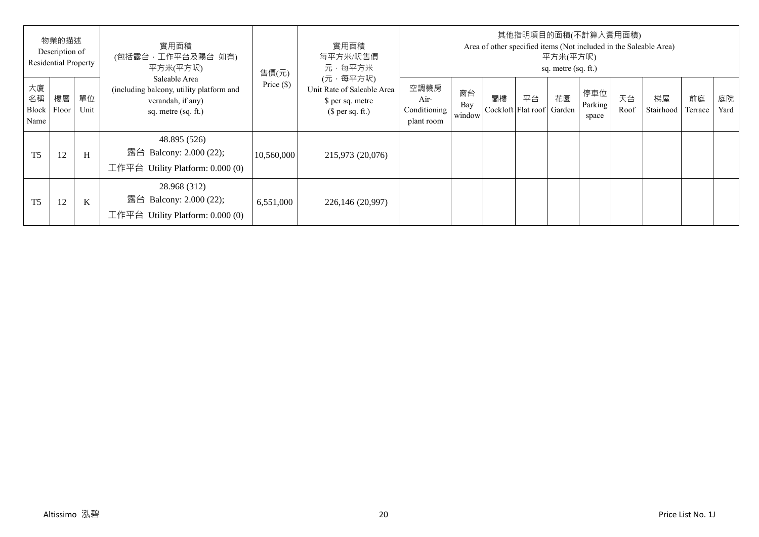|                                  | 物業的描述<br>Description of<br>Residential Property |            | 實用面積<br>(包括露台,工作平台及陽台 如有)<br>平方米(平方呎)                                                                 | 售價(元)        | 實用面積<br>每平方米/呎售價<br>元·每平方米                                                     |                                            |                     |    | 其他指明項目的面積(不計算入實用面積)      | 平方米(平方呎)<br>sq. metre (sq. ft.) |                         |            | Area of other specified items (Not included in the Saleable Area) |               |            |
|----------------------------------|-------------------------------------------------|------------|-------------------------------------------------------------------------------------------------------|--------------|--------------------------------------------------------------------------------|--------------------------------------------|---------------------|----|--------------------------|---------------------------------|-------------------------|------------|-------------------------------------------------------------------|---------------|------------|
| 大廈<br>名稱<br><b>Block</b><br>Name | 樓層<br>Floor                                     | 單位<br>Unit | Saleable Area<br>(including balcony, utility platform and<br>verandah, if any)<br>sq. metre (sq. ft.) | Price $(\$)$ | (元·每平方呎)<br>Unit Rate of Saleable Area<br>\$ per sq. metre<br>$$$ per sq. ft.) | 空調機房<br>Air-<br>Conditioning<br>plant room | 窗台<br>Bay<br>window | 閣樓 | 平台<br>Cockloft Flat roof | 花園<br>Garden                    | 停車位<br>Parking<br>space | 天台<br>Roof | 梯屋<br>Stairhood                                                   | 前庭<br>Terrace | 庭院<br>Yard |
| T <sub>5</sub>                   | 12                                              | H          | 48.895 (526)<br>露台 Balcony: 2.000 (22);<br>工作平台 Utility Platform: 0.000 (0)                           | 10,560,000   | 215,973 (20,076)                                                               |                                            |                     |    |                          |                                 |                         |            |                                                                   |               |            |
| T <sub>5</sub>                   | 12                                              | K          | 28.968 (312)<br>露台 Balcony: 2.000 (22);<br>工作平台 Utility Platform: $0.000(0)$                          | 6,551,000    | 226,146 (20,997)                                                               |                                            |                     |    |                          |                                 |                         |            |                                                                   |               |            |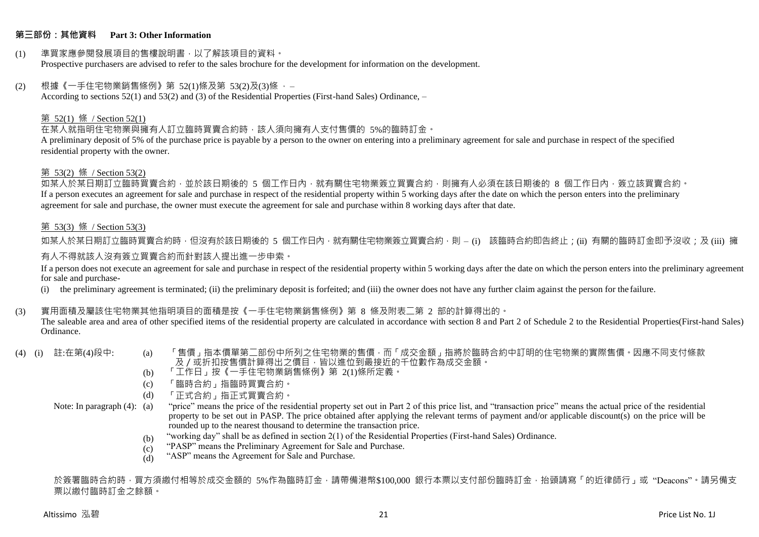## **第三部份:其他資料 Part 3: Other Information**

#### (1) 準買家應參閱發展項目的售樓說明書,以了解該項目的資料。 Prospective purchasers are advised to refer to the sales brochure for the development for information on the development.

## $(2)$  根據《一手住宅物業銷售條例》第 52(1)條及第 53(2)及(3)條,

According to sections 52(1) and 53(2) and (3) of the Residential Properties (First-hand Sales) Ordinance, –

## 第 52(1) 條 / Section 52(1)

在某人就指明住宅物業與擁有人訂立臨時買賣合約時,該人須向擁有人支付售價的 5%的臨時訂金。

A preliminary deposit of 5% of the purchase price is payable by a person to the owner on entering into a preliminary agreement for sale and purchase in respect of the specified residential property with the owner.

## 第 53(2) 條 / Section 53(2)

如某人於某日期訂立臨時買賣合約,並於該日期後的 5 個工作日內,就有關住宅物業簽立買賣合約,則擁有人必須在該日期後的 8 個工作日內,簽立該買賣合約。 If a person executes an agreement for sale and purchase in respect of the residential property within 5 working days after the date on which the person enters into the preliminary agreement for sale and purchase, the owner must execute the agreement for sale and purchase within 8 working days after that date.

## 第 53(3) 條 / Section 53(3)

如某人於某日期訂立臨時買賣合約時,但沒有於該日期後的 5 個工作日內,就有關住宅物業簽立買賣合約,則 – (i) 該臨時合約即告終止;(ii) 有關的臨時訂金即予沒收;及 (iii) 擁 有人不得就該人沒有簽立買賣合約而針對該人提出進一步申索。

If a person does not execute an agreement for sale and purchase in respect of the residential property within 5 working days after the date on which the person enters into the preliminary agreement for sale and purchase-

(i) the preliminary agreement is terminated; (ii) the preliminary deposit is forfeited; and (iii) the owner does not have any further claim against the person for the failure.

## (3) 實用面積及屬該住宅物業其他指明項目的面積是按《一手住宅物業銷售條例》第 8 條及附表二第 2 部的計算得出的。

The saleable area and area of other specified items of the residential property are calculated in accordance with section 8 and Part 2 of Schedule 2 to the Residential Properties(First-hand Sales) Ordinance.

- 
- (4) (i) 註:在第(4)段中: (a) 「售價」指本價單第二部份中所列之住宅物業的售價,而「成交金額」指將於臨時合約中訂明的住宅物業的實際售價。因應不同支付條款 及/或折扣按售價計算得出之價目,皆以進位到最接近的千位數作為成交金額。
	- (b) 「工作日」按《一手住宅物業銷售條例》第 2(1)條所定義。
	- (c) 「臨時合約」指臨時買賣合約。
	- (d) 「正式合約」指正式買賣合約。

Note: In paragraph (4): (a)

- "price" means the price of the residential property set out in Part 2 of this price list, and "transaction price" means the actual price of the residential property to be set out in PASP. The price obtained after applying the relevant terms of payment and/or applicable discount(s) on the price will be rounded up to the nearest thousand to determine the transaction price.
	- (b) "working day" shall be as defined in section 2(1) of the Residential Properties (First-hand Sales) Ordinance.
	- $(c)$ "PASP" means the Preliminary Agreement for Sale and Purchase.
	- (d) "ASP" means the Agreement for Sale and Purchase.

於簽署臨時合約時,買方須繳付相等於成交金額的 5%作為臨時訂金,請帶備港幣\$100,000 銀行本票以支付部份臨時訂金,抬頭請寫「的近律師行」或"Deacons"。請另備支 票以繳付臨時訂金之餘額。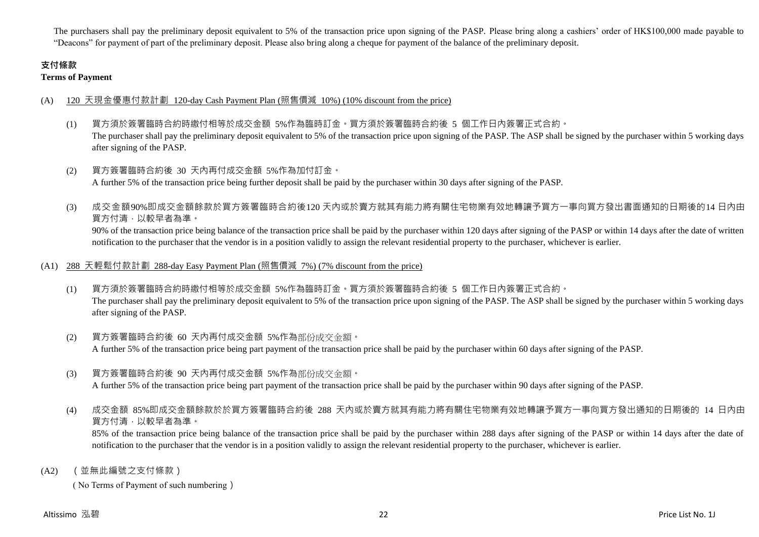The purchasers shall pay the preliminary deposit equivalent to 5% of the transaction price upon signing of the PASP. Please bring along a cashiers' order of HK\$100,000 made payable to "Deacons" for payment of part of the preliminary deposit. Please also bring along a cheque for payment of the balance of the preliminary deposit.

# **支付條款**

**Terms of Payment**

## (A) 120 天現金優惠付款計劃 120-day Cash Payment Plan (照售價減 10%) (10% discount from the price)

- (1) 買方須於簽署臨時合約時繳付相等於成交金額 5%作為臨時訂金。買方須於簽署臨時合約後 5 個工作日內簽署正式合約。 The purchaser shall pay the preliminary deposit equivalent to 5% of the transaction price upon signing of the PASP. The ASP shall be signed by the purchaser within 5 working days after signing of the PASP.
- (2) 買方簽署臨時合約後 30 天內再付成交金額 5%作為加付訂金。 A further 5% of the transaction price being further deposit shall be paid by the purchaser within 30 days after signing of the PASP.
- (3) 成交金額90%即成交金額餘款於買方簽署臨時合約後120 天內或於賣方就其有能力將有關住宅物業有效地轉讓予買方一事向買方發出書面通知的日期後的14 日內由 買方付清,以較早者為準。

90% of the transaction price being balance of the transaction price shall be paid by the purchaser within 120 days after signing of the PASP or within 14 days after the date of written notification to the purchaser that the vendor is in a position validly to assign the relevant residential property to the purchaser, whichever is earlier.

## (A1) 288 天輕鬆付款計劃 288-day Easy Payment Plan (照售價減 7%) (7% discount from the price)

- (1) 買方須於簽署臨時合約時繳付相等於成交金額 5%作為臨時訂金。買方須於簽署臨時合約後 5 個工作日內簽署正式合約。 The purchaser shall pay the preliminary deposit equivalent to 5% of the transaction price upon signing of the PASP. The ASP shall be signed by the purchaser within 5 working days after signing of the PASP.
- (2) 買方簽署臨時合約後 60 天內再付成交金額 5%作為部份成交金額。 A further 5% of the transaction price being part payment of the transaction price shall be paid by the purchaser within 60 days after signing of the PASP.
- (3) 買方簽署臨時合約後 90 天內再付成交金額 5%作為部份成交金額。

A further 5% of the transaction price being part payment of the transaction price shall be paid by the purchaser within 90 days after signing of the PASP.

(4) 成交金額 85%即成交金額餘款於於買方簽署臨時合約後 288 天內或於賣方就其有能力將有關住宅物業有效地轉讓予買方一事向買方發出通知的日期後的 14 日內由 買方付清,以較早者為準。

85% of the transaction price being balance of the transaction price shall be paid by the purchaser within 288 days after signing of the PASP or within 14 days after the date of notification to the purchaser that the vendor is in a position validly to assign the relevant residential property to the purchaser, whichever is earlier.

(A2) (並無此編號之支付條款)

( No Terms of Payment of such numbering)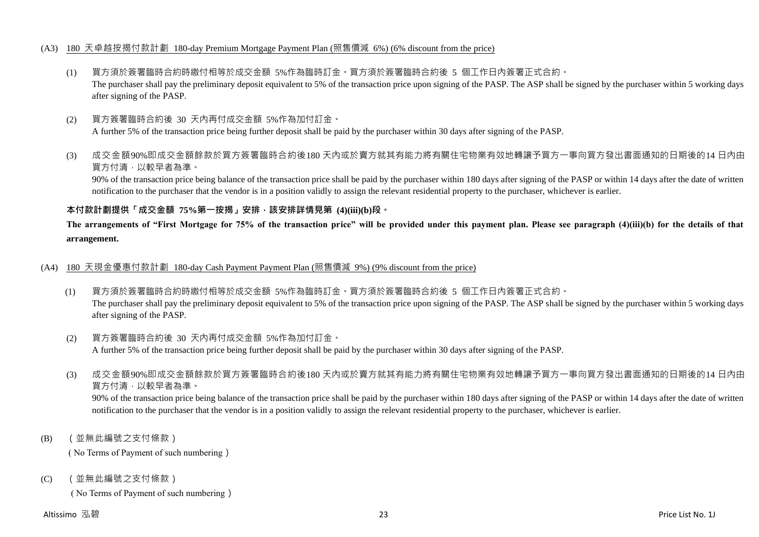## (A3) 180 天卓越按揭付款計劃 180-day Premium Mortgage Payment Plan (照售價減 6%) (6% discount from the price)

- (1) 買方須於簽署臨時合約時繳付相等於成交金額 5%作為臨時訂金。買方須於簽署臨時合約後 5 個工作日內簽署正式合約。 The purchaser shall pay the preliminary deposit equivalent to 5% of the transaction price upon signing of the PASP. The ASP shall be signed by the purchaser within 5 working days after signing of the PASP.
- (2) 買方簽署臨時合約後 30 天內再付成交金額 5%作為加付訂金。 A further 5% of the transaction price being further deposit shall be paid by the purchaser within 30 days after signing of the PASP.
- (3) 成交金額90%即成交金額餘款於買方簽署臨時合約後180 天內或於賣方就其有能力將有關住宅物業有效地轉讓予買方一事向買方發出書面通知的日期後的14 日內由 買方付清,以較早者為準。

90% of the transaction price being balance of the transaction price shall be paid by the purchaser within 180 days after signing of the PASP or within 14 days after the date of written notification to the purchaser that the vendor is in a position validly to assign the relevant residential property to the purchaser, whichever is earlier.

## **本付款計劃提供「成交金額 75%第一按揭」安排,該安排詳情見第 (4)(iii)(b)段。**

**The arrangements of "First Mortgage for 75% of the transaction price" will be provided under this payment plan. Please see paragraph (4)(iii)(b) for the details of that arrangement.**

## (A4) 180 天現金優惠付款計劃 180-day Cash Payment Payment Plan (照售價減 9%) (9% discount from the price)

- (1) 買方須於簽署臨時合約時繳付相等於成交金額 5%作為臨時訂金。買方須於簽署臨時合約後 5 個工作日內簽署正式合約。 The purchaser shall pay the preliminary deposit equivalent to 5% of the transaction price upon signing of the PASP. The ASP shall be signed by the purchaser within 5 working days after signing of the PASP.
- (2) 買方簽署臨時合約後 30 天內再付成交金額 5%作為加付訂金。 A further 5% of the transaction price being further deposit shall be paid by the purchaser within 30 days after signing of the PASP.
- (3) 成交金額90%即成交金額餘款於買方簽署臨時合約後180 天內或於賣方就其有能力將有關住宅物業有效地轉讓予買方一事向買方發出書面通知的日期後的14 日內由 買方付清,以較早者為準。

90% of the transaction price being balance of the transaction price shall be paid by the purchaser within 180 days after signing of the PASP or within 14 days after the date of written notification to the purchaser that the vendor is in a position validly to assign the relevant residential property to the purchaser, whichever is earlier.

(B) (並無此編號之支付條款)

( No Terms of Payment of such numbering)

(C) (並無此編號之支付條款)

( No Terms of Payment of such numbering)

## Altissimo 泓碧 23 Price List No. 1J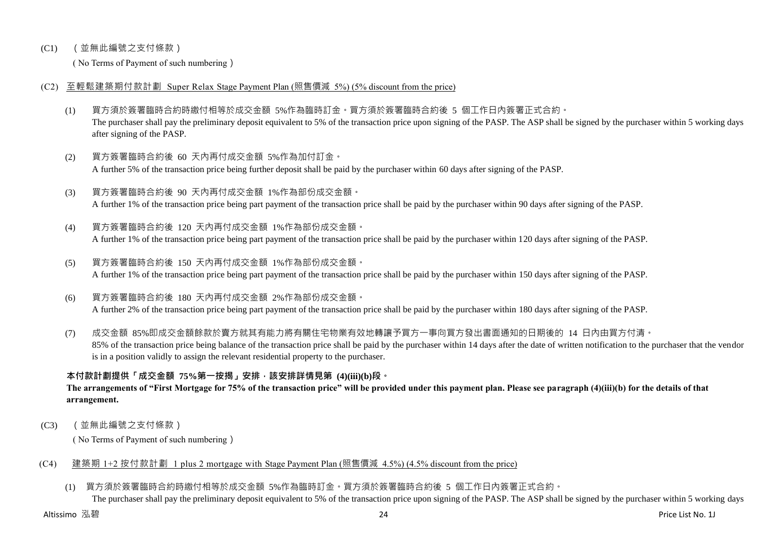## (C1) (並無此編號之支付條款)

( No Terms of Payment of such numbering)

## (C2) 至輕鬆建築期付款計劃 Super Relax Stage Payment Plan (照售價減 5%) (5% discount from the price)

- (1) 買方須於簽署臨時合約時繳付相等於成交金額 5%作為臨時訂金。買方須於簽署臨時合約後 5 個工作日內簽署正式合約。 The purchaser shall pay the preliminary deposit equivalent to 5% of the transaction price upon signing of the PASP. The ASP shall be signed by the purchaser within 5 working days after signing of the PASP.
- (2) 買方簽署臨時合約後 60 天內再付成交金額 5%作為加付訂金。 A further 5% of the transaction price being further deposit shall be paid by the purchaser within 60 days after signing of the PASP.
- (3) 買方簽署臨時合約後 90 天內再付成交金額 1%作為部份成交金額。 A further 1% of the transaction price being part payment of the transaction price shall be paid by the purchaser within 90 days after signing of the PASP.
- (4) 買方簽署臨時合約後 120 天內再付成交金額 1%作為部份成交金額。 A further 1% of the transaction price being part payment of the transaction price shall be paid by the purchaser within 120 days after signing of the PASP.
- (5) 買方簽署臨時合約後 150 天內再付成交金額 1%作為部份成交金額。 A further 1% of the transaction price being part payment of the transaction price shall be paid by the purchaser within 150 days after signing of the PASP.
- (6) 買方簽署臨時合約後 180 天內再付成交金額 2%作為部份成交金額。

A further 2% of the transaction price being part payment of the transaction price shall be paid by the purchaser within 180 days after signing of the PASP.

(7) 成交金額 85%即成交金額餘款於賣方就其有能力將有關住宅物業有效地轉讓予買方一事向買方發出書面通知的日期後的 14 日內由買方付清。 85% of the transaction price being balance of the transaction price shall be paid by the purchaser within 14 days after the date of written notification to the purchaser that the vendor is in a position validly to assign the relevant residential property to the purchaser.

# **本付款計劃提供「成交金額 75%第一按揭」安排,該安排詳情見第 (4)(iii)(b)段。**

**The arrangements of "First Mortgage for 75% of the transaction price" will be provided under this payment plan. Please see paragraph (4)(iii)(b) for the details of that arrangement.**

(C3) (並無此編號之支付條款)

( No Terms of Payment of such numbering)

## (C4) 建築期 1+2 按付款計劃 1 plus 2 mortgage with Stage Payment Plan (照售價減 4.5%) (4.5% discount from the price)

(1) 買方須於簽署臨時合約時繳付相等於成交金額 5%作為臨時訂金。買方須於簽署臨時合約後 5 個工作日內簽署正式合約。

The purchaser shall pay the preliminary deposit equivalent to 5% of the transaction price upon signing of the PASP. The ASP shall be signed by the purchaser within 5 working days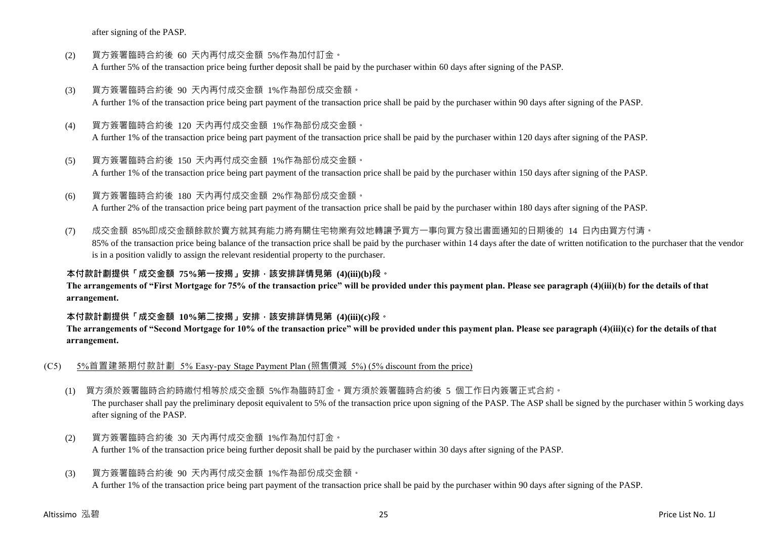after signing of the PASP.

- (2) 買方簽署臨時合約後 60 天內再付成交金額 5%作為加付訂金。 A further 5% of the transaction price being further deposit shall be paid by the purchaser within 60 days after signing of the PASP.
- (3) 買方簽署臨時合約後 90 天內再付成交金額 1%作為部份成交金額。 A further 1% of the transaction price being part payment of the transaction price shall be paid by the purchaser within 90 days after signing of the PASP.
- (4) 買方簽署臨時合約後 120 天內再付成交金額 1%作為部份成交金額。 A further 1% of the transaction price being part payment of the transaction price shall be paid by the purchaser within 120 days after signing of the PASP.
- (5) 買方簽署臨時合約後 150 天內再付成交金額 1%作為部份成交金額。 A further 1% of the transaction price being part payment of the transaction price shall be paid by the purchaser within 150 days after signing of the PASP.
- (6) 買方簽署臨時合約後 180 天內再付成交金額 2%作為部份成交金額。 A further 2% of the transaction price being part payment of the transaction price shall be paid by the purchaser within 180 days after signing of the PASP.
- (7) 成交金額 85%即成交金額餘款於賣方就其有能力將有關住宅物業有效地轉讓予買方一事向買方發出書面通知的日期後的 14 日內由買方付清。 85% of the transaction price being balance of the transaction price shall be paid by the purchaser within 14 days after the date of written notification to the purchaser that the vendor is in a position validly to assign the relevant residential property to the purchaser.

**本付款計劃提供「成交金額 75%第一按揭」安排,該安排詳情見第 (4)(iii)(b)段。**

**The arrangements of "First Mortgage for 75% of the transaction price" will be provided under this payment plan. Please see paragraph (4)(iii)(b) for the details of that arrangement.**

## **本付款計劃提供「成交金額 10%第二按揭」安排,該安排詳情見第 (4)(iii)(c)段。**

**The arrangements of "Second Mortgage for 10% of the transaction price" will be provided under this payment plan. Please see paragraph (4)(iii)(c) for the details of that arrangement.**

- (C5) 5%首置建築期付款計劃 5% Easy-pay Stage Payment Plan (照售價減 5%) (5% discount from the price)
	- (1) 買方須於簽署臨時合約時繳付相等於成交金額 5%作為臨時訂金。買方須於簽署臨時合約後 5 個工作日內簽署正式合約。

The purchaser shall pay the preliminary deposit equivalent to 5% of the transaction price upon signing of the PASP. The ASP shall be signed by the purchaser within 5 working days after signing of the PASP.

(2) 買方簽署臨時合約後 30 天內再付成交金額 1%作為加付訂金。 A further 1% of the transaction price being further deposit shall be paid by the purchaser within 30 days after signing of the PASP.

# (3) 買方簽署臨時合約後 90 天內再付成交金額 1%作為部份成交金額。

A further 1% of the transaction price being part payment of the transaction price shall be paid by the purchaser within 90 days after signing of the PASP.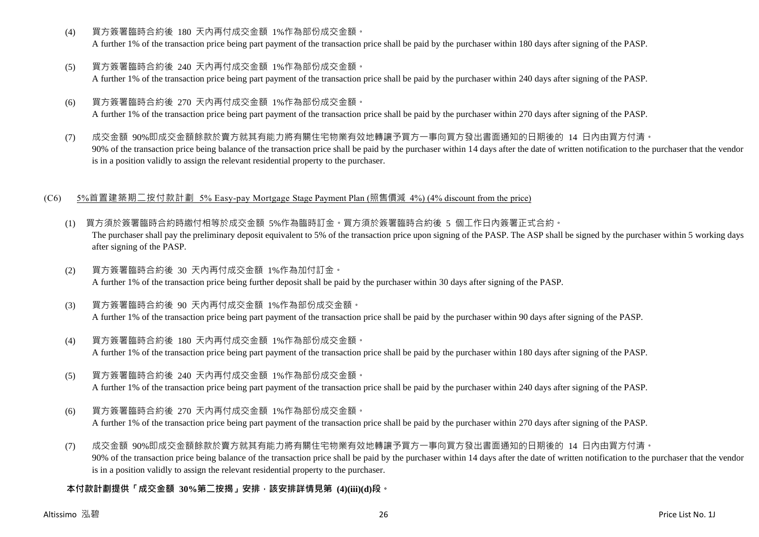(4) 買方簽署臨時合約後 180 天內再付成交金額 1%作為部份成交金額。

A further 1% of the transaction price being part payment of the transaction price shall be paid by the purchaser within 180 days after signing of the PASP.

- (5) 買方簽署臨時合約後 240 天內再付成交金額 1%作為部份成交金額。 A further 1% of the transaction price being part payment of the transaction price shall be paid by the purchaser within 240 days after signing of the PASP.
- (6) 買方簽署臨時合約後 270 天內再付成交金額 1%作為部份成交金額。 A further 1% of the transaction price being part payment of the transaction price shall be paid by the purchaser within 270 days after signing of the PASP.
- (7) 成交金額 90%即成交金額餘款於賣方就其有能力將有關住宅物業有效地轉讓予買方一事向買方發出書面通知的日期後的 14 日內由買方付清。 90% of the transaction price being balance of the transaction price shall be paid by the purchaser within 14 days after the date of written notification to the purchaser that the vendor is in a position validly to assign the relevant residential property to the purchaser.

## (C6) 5%首置建築期二按付款計劃 5% Easy-pay Mortgage Stage Payment Plan (照售價減 4%) (4% discount from the price)

- (1) 買方須於簽署臨時合約時繳付相等於成交金額 5%作為臨時訂金。買方須於簽署臨時合約後 5 個工作日內簽署正式合約。 The purchaser shall pay the preliminary deposit equivalent to 5% of the transaction price upon signing of the PASP. The ASP shall be signed by the purchaser within 5 working days after signing of the PASP.
- (2) 買方簽署臨時合約後 30 天內再付成交金額 1%作為加付訂金。 A further 1% of the transaction price being further deposit shall be paid by the purchaser within 30 days after signing of the PASP.
- (3) 買方簽署臨時合約後 90 天內再付成交金額 1%作為部份成交金額。 A further 1% of the transaction price being part payment of the transaction price shall be paid by the purchaser within 90 days after signing of the PASP.
- (4) 買方簽署臨時合約後 180 天內再付成交金額 1%作為部份成交金額。 A further 1% of the transaction price being part payment of the transaction price shall be paid by the purchaser within 180 days after signing of the PASP.
- (5) 買方簽署臨時合約後 240 天內再付成交金額 1%作為部份成交金額。 A further 1% of the transaction price being part payment of the transaction price shall be paid by the purchaser within 240 days after signing of the PASP.
- (6) 買方簽署臨時合約後 270 天內再付成交金額 1%作為部份成交金額。

A further 1% of the transaction price being part payment of the transaction price shall be paid by the purchaser within 270 days after signing of the PASP.

(7) 成交金額 90%即成交金額餘款於賣方就其有能力將有關住宅物業有效地轉讓予買方一事向買方發出書面通知的日期後的 14 日內由買方付清。 90% of the transaction price being balance of the transaction price shall be paid by the purchaser within 14 days after the date of written notification to the purchaser that the vendor is in a position validly to assign the relevant residential property to the purchaser.

# **本付款計劃提供「成交金額 30%第二按揭」安排,該安排詳情見第 (4)(iii)(d)段。**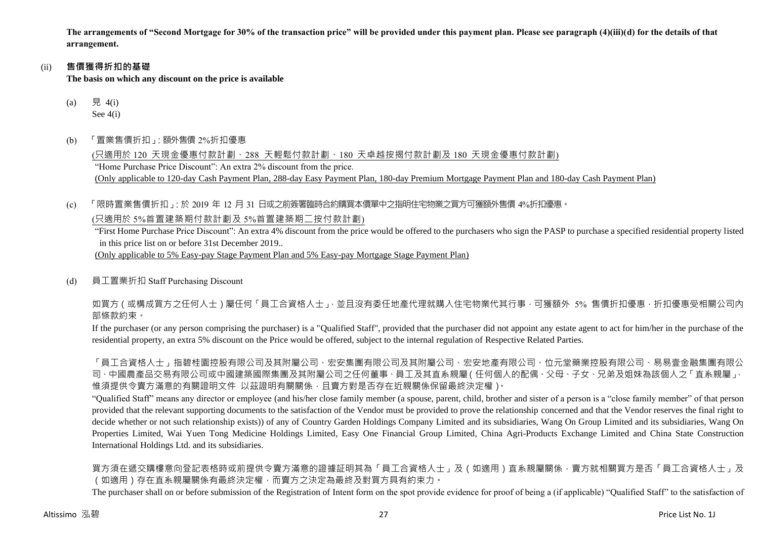**The arrangements of "Second Mortgage for 30% of the transaction price" will be provided under this payment plan. Please see paragraph (4)(iii)(d) for the details of that arrangement.**

#### (ii) **售價獲得折扣的基礎**

**The basis on which any discount on the price is available**

- (a) 見 4(i) See 4(i)
- (b) 「置業售價折扣」:額外售價 2%折扣優惠

(只適用於 120 天現金優惠付款計劃、288 天輕鬆付款計劃、180 天卓越按揭付款計劃及 180 天現金優惠付款計劃) "Home Purchase Price Discount": An extra 2% discount from the price. (Only applicable to 120-day Cash Payment Plan, 288-day Easy Payment Plan, 180-day Premium Mortgage Payment Plan and 180-day Cash Payment Plan)

(c) 「限時置業售價折扣」:於 2019 年 12 月 31 日或之前簽署臨時合約購買本價單中之指明住宅物業之買方可獲額外售價 4%折扣優惠。

(只適用於 5%首置建築期付款計劃及 5%首置建築期二按付款計劃)

"First Home Purchase Price Discount": An extra 4% discount from the price would be offered to the purchasers who sign the PASP to purchase a specified residential property listed in this price list on or before 31st December 2019..

(Only applicable to 5% Easy-pay Stage Payment Plan and 5% Easy-pay Mortgage Stage Payment Plan)

(d) 員工置業折扣 Staff Purchasing Discount

如買方(或構成買方之任何人士)屬任何「員工合資格人士」,並且沒有委任地產代理就購入住宅物業代其行事,可獲額外 5% 售價折扣優惠,折扣優惠受相關公司內 部條款約束。

If the purchaser (or any person comprising the purchaser) is a "Qualified Staff", provided that the purchaser did not appoint any estate agent to act for him/her in the purchase of the residential property, an extra 5% discount on the Price would be offered, subject to the internal regulation of Respective Related Parties.

「員工合資格人士」指碧桂園控股有限公司及其附屬公司、宏安集團有限公司及其附屬公司、宏安地產有限公司、位元堂藥業控股有限公司、易易壹金融集團有限公 司、中國農產品交易有限公司或中國建築國際集團及其附屬公司之任何董事、員工及其直系親屬(任何個人的配偶、父母、子女、兄弟及姐妹為該個人之「直系親屬」, 惟須提供令賣方滿意的有關證明文件 以茲證明有關關係,且賣方對是否存在近親關係保留最終決定權)。

"Qualified Staff" means any director or employee (and his/her close family member (a spouse, parent, child, brother and sister of a person is a "close family member" of that person provided that the relevant supporting documents to the satisfaction of the Vendor must be provided to prove the relationship concerned and that the Vendor reserves the final right to decide whether or not such relationship exists)) of any of Country Garden Holdings Company Limited and its subsidiaries, Wang On Group Limited and its subsidiaries, Wang On Properties Limited, Wai Yuen Tong Medicine Holdings Limited, Easy One Financial Group Limited, China Agri-Products Exchange Limited and China State Construction International Holdings Ltd. and its subsidiaries.

買方須在遞交購樓意向登記表格時或前提供令賣方滿意的證據証明其為「員工合資格人士」及(如適用)直系親屬關係,賣方就相關買方是否「員工合資格人士」及 (如適用)存在直系親屬關係有最終決定權,而賣方之決定為最終及對買方具有約束力。

The purchaser shall on or before submission of the Registration of Intent form on the spot provide evidence for proof of being a (if applicable) "Qualified Staff" to the satisfaction of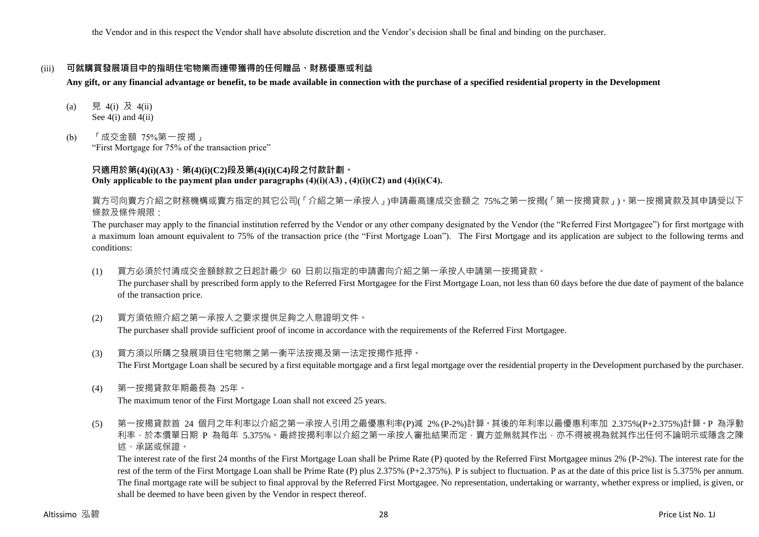the Vendor and in this respect the Vendor shall have absolute discretion and the Vendor's decision shall be final and binding on the purchaser.

## (iii) **可就購買發展項目中的指明住宅物業而連帶獲得的任何贈品、財務優惠或利益**

**Any gift, or any financial advantage or benefit, to be made available in connection with the purchase of a specified residential property in the Development**

- (a) 見 4(i) 及 4(ii) See 4(i) and 4(ii)
- (b) 「成交金額 75%第一按揭」 "First Mortgage for 75% of the transaction price"

## **只適用於第(4)(i)(A3)、第(4)(i)(C2)段及第(4)(i)(C4)段之付款計劃。 Only applicable to the payment plan under paragraphs (4)(i)(A3) , (4)(i)(C2) and (4)(i)(C4).**

買方可向賣方介紹之財務機構或賣方指定的其它公司(「介紹之第一承按人」)申請最高達成交金額之 75%之第一按揭(「第一按揭貸款」)。第一按揭貸款及其申請受以下 條款及條件規限:

The purchaser may apply to the financial institution referred by the Vendor or any other company designated by the Vendor (the "Referred First Mortgagee") for first mortgage with a maximum loan amount equivalent to 75% of the transaction price (the "First Mortgage Loan"). The First Mortgage and its application are subject to the following terms and conditions:

- (1) 買方必須於付清成交金額餘款之日起計最少 60 日前以指定的申請書向介紹之第一承按人申請第一按揭貸款。 The purchaser shall by prescribed form apply to the Referred First Mortgagee for the First Mortgage Loan, not less than 60 days before the due date of payment of the balance of the transaction price.
- (2) 買方須依照介紹之第一承按人之要求提供足夠之入息證明文件。 The purchaser shall provide sufficient proof of income in accordance with the requirements of the Referred First Mortgagee.
- (3) 買方須以所購之發展項目住宅物業之第一衡平法按揭及第一法定按揭作抵押。 The First Mortgage Loan shall be secured by a first equitable mortgage and a first legal mortgage over the residential property in the Development purchased by the purchaser.
- (4) 第一按揭貸款年期最長為 25年。

The maximum tenor of the First Mortgage Loan shall not exceed 25 years.

(5) 第一按揭貸款首 24 個月之年利率以介紹之第一承按人引用之最優惠利率(P)減 2% (P-2%)計算。其後的年利率以最優惠利率加 2.375%(P+2.375%)計算。P 為浮動 利率,於本價單日期 P 為每年 5.375%。最終按揭利率以介紹之第一承按人審批結果而定,賣方並無就其作出,亦不得被視為就其作出任何不論明示或隱含之陳 述、承諾或保證。

The interest rate of the first 24 months of the First Mortgage Loan shall be Prime Rate (P) quoted by the Referred First Mortgagee minus 2% (P-2%). The interest rate for the rest of the term of the First Mortgage Loan shall be Prime Rate (P) plus 2.375% (P+2.375%). P is subject to fluctuation. P as at the date of this price list is 5.375% per annum. The final mortgage rate will be subject to final approval by the Referred First Mortgagee. No representation, undertaking or warranty, whether express or implied, is given, or shall be deemed to have been given by the Vendor in respect thereof.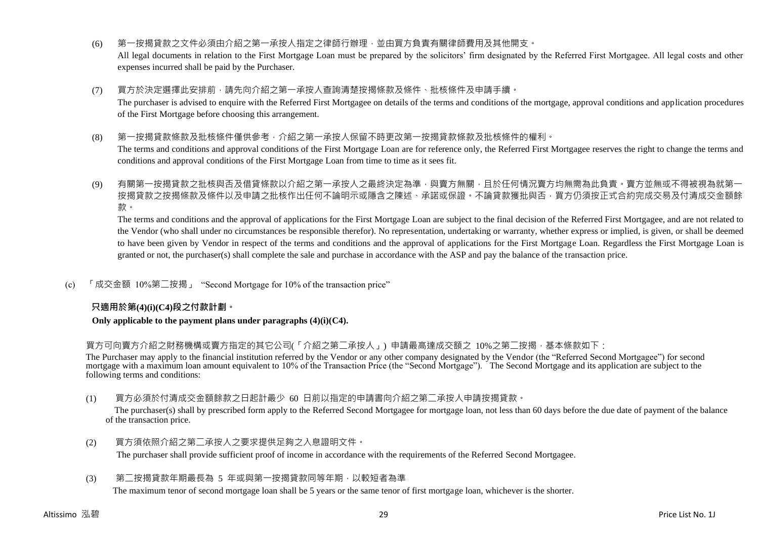(6) 第一按揭貸款之文件必須由介紹之第一承按人指定之律師行辦理,並由買方負責有關律師費用及其他開支。

All legal documents in relation to the First Mortgage Loan must be prepared by the solicitors' firm designated by the Referred First Mortgagee. All legal costs and other expenses incurred shall be paid by the Purchaser.

(7) 買方於決定選擇此安排前,請先向介紹之第一承按人查詢清楚按揭條款及條件、批核條件及申請手續。

The purchaser is advised to enquire with the Referred First Mortgagee on details of the terms and conditions of the mortgage, approval conditions and application procedures of the First Mortgage before choosing this arrangement.

(8) 第一按揭貸款條款及批核條件僅供參考,介紹之第一承按人保留不時更改第一按揭貸款條款及批核條件的權利。

The terms and conditions and approval conditions of the First Mortgage Loan are for reference only, the Referred First Mortgagee reserves the right to change the terms and conditions and approval conditions of the First Mortgage Loan from time to time as it sees fit.

(9) 有關第一按揭貸款之批核與否及借貸條款以介紹之第一承按人之最終決定為準,與賣方無關,且於任何情況賣方均無需為此負責。賣方並無或不得被視為就第一 按揭貸款之按揭條款及條件以及申請之批核作出任何不論明示或隱含之陳述、承諾或保證。不論貸款獲批與否,買方仍須按正式合約完成交易及付清成交金額餘 款。

The terms and conditions and the approval of applications for the First Mortgage Loan are subject to the final decision of the Referred First Mortgagee, and are not related to the Vendor (who shall under no circumstances be responsible therefor). No representation, undertaking or warranty, whether express or implied, is given, or shall be deemed to have been given by Vendor in respect of the terms and conditions and the approval of applications for the First Mortgage Loan. Regardless the First Mortgage Loan is granted or not, the purchaser(s) shall complete the sale and purchase in accordance with the ASP and pay the balance of the transaction price.

(c) 「成交金額 10%第二按揭」 "Second Mortgage for 10% of the transaction price"

## **只適用於第(4)(i)(C4)段之付款計劃。**

#### **Only applicable to the payment plans under paragraphs (4)(i)(C4).**

買方可向賣方介紹之財務機構或賣方指定的其它公司(「介紹之第二承按人」) 申請最高達成交額之 10%之第二按揭,基本條款如下:

The Purchaser may apply to the financial institution referred by the Vendor or any other company designated by the Vendor (the "Referred Second Mortgagee") for second mortgage with a maximum loan amount equivalent to 10% of the Transaction Price (the "Second Mortgage"). The Second Mortgage and its application are subject to the following terms and conditions:

(1) 買方必須於付清成交金額餘款之日起計最少 60 日前以指定的申請書向介紹之第二承按人申請按揭貸款。

The purchaser(s) shall by prescribed form apply to the Referred Second Mortgagee for mortgage loan, not less than 60 days before the due date of payment of the balance of the transaction price.

(2) 買方須依照介紹之第二承按人之要求提供足夠之入息證明文件。 The purchaser shall provide sufficient proof of income in accordance with the requirements of the Referred Second Mortgagee.

# (3) 第二按揭貸款年期最長為 5 年或與第一按揭貸款同等年期,以較短者為準

The maximum tenor of second mortgage loan shall be 5 years or the same tenor of first mortgage loan, whichever is the shorter.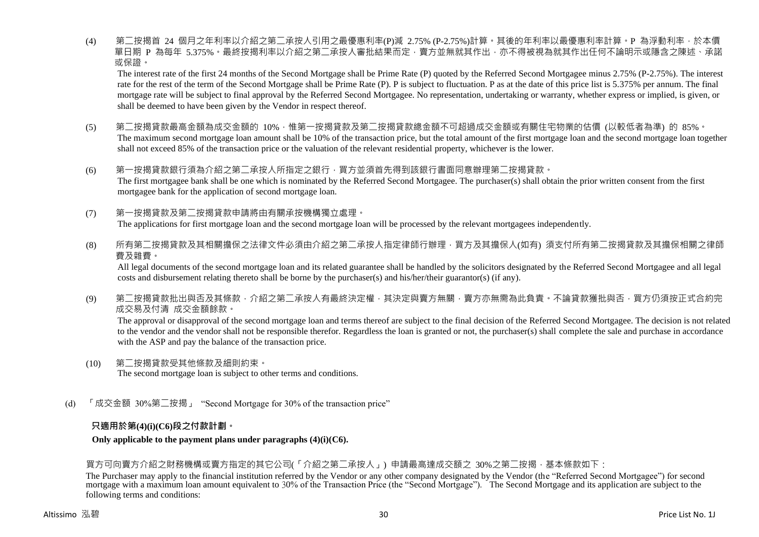(4) 第二按揭首 24 個月之年利率以介紹之第二承按人引用之最優惠利率(P)減 2.75% (P-2.75%)計算。其後的年利率以最優惠利率計算。P 為浮動利率,於本價 單日期 P 為每年 5.375%。最終按揭利率以介紹之第二承按人審批結果而定,賣方並無就其作出,亦不得被視為就其作出任何不論明示或隱含之陳述、承諾 或保證。

The interest rate of the first 24 months of the Second Mortgage shall be Prime Rate (P) quoted by the Referred Second Mortgagee minus 2.75% (P-2.75%). The interest rate for the rest of the term of the Second Mortgage shall be Prime Rate (P). P is subject to fluctuation. P as at the date of this price list is 5.375% per annum. The final mortgage rate will be subject to final approval by the Referred Second Mortgagee. No representation, undertaking or warranty, whether express or implied, is given, or shall be deemed to have been given by the Vendor in respect thereof.

- (5) 第二按揭貸款最高金額為成交金額的 10%,惟第一按揭貸款及第二按揭貸款總金額不可超過成交金額或有關住宅物業的估價 (以較低者為準) 的 85%。 The maximum second mortgage loan amount shall be 10% of the transaction price, but the total amount of the first mortgage loan and the second mortgage loan together shall not exceed 85% of the transaction price or the valuation of the relevant residential property, whichever is the lower.
- (6) 第一按揭貸款銀行須為介紹之第二承按人所指定之銀行,買方並須首先得到該銀行書面同意辦理第二按揭貸款。 The first mortgagee bank shall be one which is nominated by the Referred Second Mortgagee. The purchaser(s) shall obtain the prior written consent from the first mortgagee bank for the application of second mortgage loan.
- (7) 第一按揭貸款及第二按揭貸款申請將由有關承按機構獨立處理。 The applications for first mortgage loan and the second mortgage loan will be processed by the relevant mortgagees independently.
- (8) 所有第<sup>一</sup>按揭貸款及其相關擔保之法律文件必須由介紹之第<sup>一</sup>承按人指定律師行辦理,買方及其擔保人(如有) 須支付所有第<sup>一</sup>按揭貸款及其擔保相關之律師 費及雜費。

All legal documents of the second mortgage loan and its related guarantee shall be handled by the solicitors designated by the Referred Second Mortgagee and all legal costs and disbursement relating thereto shall be borne by the purchaser(s) and his/her/their guarantor(s) (if any).

(9) 第二按揭貸款批出與否及其條款,介紹之第二承按人有最終決定權,其決定與賣方無關,賣方亦無需為此負責。不論貸款獲批與否,買方仍須按正式合約完 成交易及付清 成交金額餘款。

The approval or disapproval of the second mortgage loan and terms thereof are subject to the final decision of the Referred Second Mortgagee. The decision is not related to the vendor and the vendor shall not be responsible therefor. Regardless the loan is granted or not, the purchaser(s) shall complete the sale and purchase in accordance with the ASP and pay the balance of the transaction price.

- (10) 第二按揭貸款受其他條款及細則約束。 The second mortgage loan is subject to other terms and conditions.
- (d) 「成交金額 30%第二按揭」 "Second Mortgage for 30% of the transaction price"

## **只適用於第(4)(i)(C6)段之付款計劃。**

## **Only applicable to the payment plans under paragraphs (4)(i)(C6).**

## 買方可向賣方介紹之財務機構或賣方指定的其它公司(「介紹之第二承按人」) 申請最高達成交額之 30%之第二按揭,基本條款如下:

The Purchaser may apply to the financial institution referred by the Vendor or any other company designated by the Vendor (the "Referred Second Mortgagee") for second mortgage with a maximum loan amount equivalent to 30% of the Transaction Price (the "Second Mortgage"). The Second Mortgage and its application are subject to the following terms and conditions: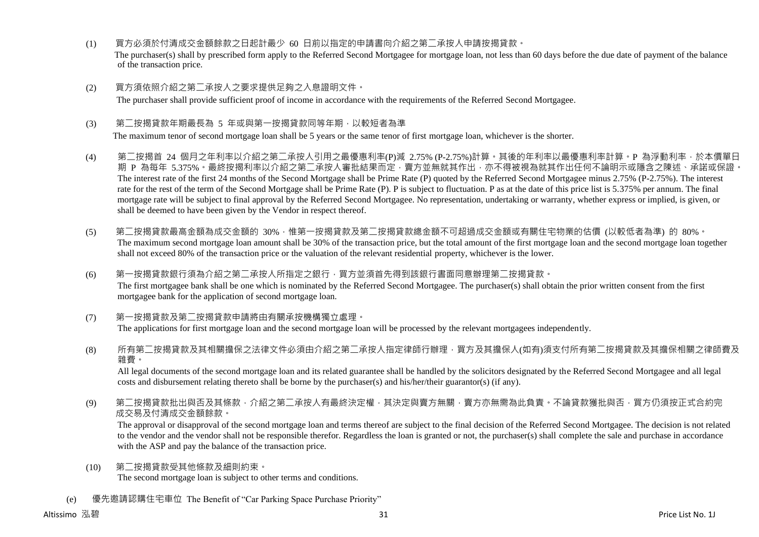- (1) 買方必須於付清成交金額餘款之日起計最少 60 日前以指定的申請書向介紹之第二承按人申請按揭貸款。 The purchaser(s) shall by prescribed form apply to the Referred Second Mortgagee for mortgage loan, not less than 60 days before the due date of payment of the balance of the transaction price.
- (2) 買方須依照介紹之第二承按人之要求提供足夠之入息證明文件。 The purchaser shall provide sufficient proof of income in accordance with the requirements of the Referred Second Mortgagee.
- (3) 第<sup>一</sup>按揭貸款年期最長為 5 年或與第一按揭貸款同等年期,以較短者為準

The maximum tenor of second mortgage loan shall be 5 years or the same tenor of first mortgage loan, whichever is the shorter.

- (4) 第二按揭首 24 個月之年利率以介紹之第二承按人引用之最優惠利率(P)減 2.75% (P-2.75%)計算。其後的年利率以最優惠利率計算。P 為浮動利率,於本價單日 期 P 為每年 5.375%。最終按揭利率以介紹之第二承按人審批結果而定, 賣方並無就其作出, 亦不得被視為就其作出任何不論明示或隱含之陳述、承諾或保證。 The interest rate of the first 24 months of the Second Mortgage shall be Prime Rate (P) quoted by the Referred Second Mortgagee minus 2.75% (P-2.75%). The interest rate for the rest of the term of the Second Mortgage shall be Prime Rate (P). P is subject to fluctuation. P as at the date of this price list is 5.375% per annum. The final mortgage rate will be subject to final approval by the Referred Second Mortgagee. No representation, undertaking or warranty, whether express or implied, is given, or shall be deemed to have been given by the Vendor in respect thereof.
- (5) 第二按揭貸款最高金額為成交金額的 30%,惟第一按揭貸款及第二按揭貸款總金額不可超過成交金額或有關住宅物業的估價 (以較低者為準) 的 80%。 The maximum second mortgage loan amount shall be 30% of the transaction price, but the total amount of the first mortgage loan and the second mortgage loan together shall not exceed 80% of the transaction price or the valuation of the relevant residential property, whichever is the lower.
- (6) 第一按揭貸款銀行須為介紹之第二承按人所指定之銀行,買方並須首先得到該銀行書面同意辦理第二按揭貸款。 The first mortgagee bank shall be one which is nominated by the Referred Second Mortgagee. The purchaser(s) shall obtain the prior written consent from the first mortgagee bank for the application of second mortgage loan.
- (7) 第一按揭貸款及第二按揭貸款申請將由有關承按機構獨立處理。 The applications for first mortgage loan and the second mortgage loan will be processed by the relevant mortgagees independently.
- (8) 所有第二按揭貸款及其相關擔保之法律文件必須由介紹之第二承按人指定律師行辦理,買方及其擔保人(如有)須支付所有第二按揭貸款及其擔保相關之律師費及 雜費。

All legal documents of the second mortgage loan and its related guarantee shall be handled by the solicitors designated by the Referred Second Mortgagee and all legal costs and disbursement relating thereto shall be borne by the purchaser(s) and his/her/their guarantor(s) (if any).

(9) 第二按揭貸款批出與否及其條款,介紹之第二承按人有最終決定權,其決定與賣方無關,賣方亦無需為此負責。不論貸款獲批與否,買方仍須按正式合約完 成交易及付清成交金額餘款。

The approval or disapproval of the second mortgage loan and terms thereof are subject to the final decision of the Referred Second Mortgagee. The decision is not related to the vendor and the vendor shall not be responsible therefor. Regardless the loan is granted or not, the purchaser(s) shall complete the sale and purchase in accordance with the ASP and pay the balance of the transaction price.

- (10) 第二按揭貸款受其他條款及細則約束。 The second mortgage loan is subject to other terms and conditions.
- (e) 優先邀請認購住宅車位 The Benefit of "Car Parking Space Purchase Priority"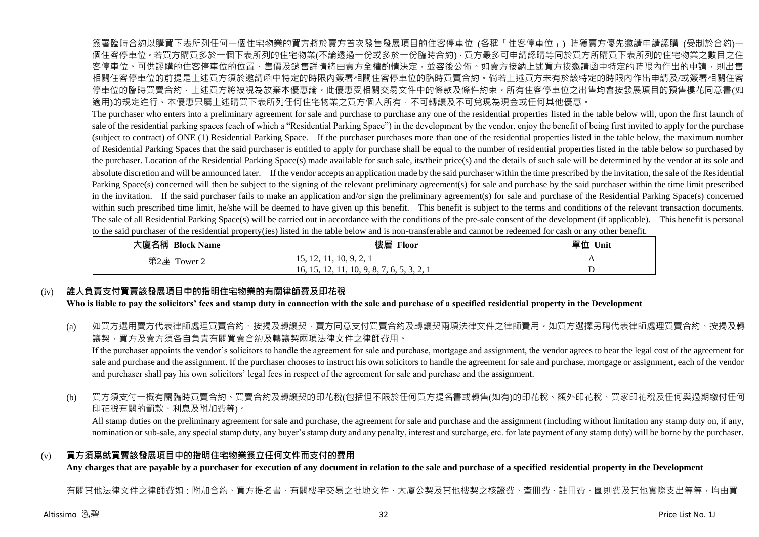簽署臨時合約以購買下表所列任何一個住宅物業的買方將於賣方首次發售發展項目的住客停車位 (各稱「住客停車位」) 時獲賣方優先邀請申請認購 (受制於合約)一 個住客停車位。若買方購買多於一個下表所列的住宅物業(不論透過一份或多於一份臨時合約),買方最多可申請認購等同於買方所購買下表所列的住宅物業之數目之住 客停車位。可供認購的住客停車位的位置、售價及銷售詳情將由賣方全權酌情決定,並容後公佈。如賣方接納上述買方按邀請函中特定的時限內作出的申請,則出售 相關住客停車位的前提是上述買方須於邀請函中特定的時限內簽署相關住客停車位的臨時買賣合約。倘若上述買方未有於該特定的時限內作出申請及/或簽署相關住客 停車位的臨時買賣合約,上述買方將被視為放棄本優惠論。此優惠受相關交易文件中的條款及條件約束。所有住客停車位之出售均會按發展項目的預售樓花同意書(如 適用)的規定進行。本優惠只屬上述購買下表所列任何住宅物業之買方個人所有,不可轉讓及不可兌現為現金或任何其他優惠。

The purchaser who enters into a preliminary agreement for sale and purchase to purchase any one of the residential properties listed in the table below will, upon the first launch of sale of the residential parking spaces (each of which a "Residential Parking Space") in the development by the vendor, enjoy the benefit of being first invited to apply for the purchase (subject to contract) of ONE (1) Residential Parking Space. If the purchaser purchases more than one of the residential properties listed in the table below, the maximum number of Residential Parking Spaces that the said purchaser is entitled to apply for purchase shall be equal to the number of residential properties listed in the table below so purchased by the purchaser. Location of the Residential Parking Space(s) made available for such sale, its/their price(s) and the details of such sale will be determined by the vendor at its sole and absolute discretion and will be announced later. If the vendor accepts an application made by the said purchaser within the time prescribed by the invitation, the sale of the Residential Parking Space(s) concerned will then be subject to the signing of the relevant preliminary agreement(s) for sale and purchase by the said purchaser within the time limit prescribed in the invitation. If the said purchaser fails to make an application and/or sign the preliminary agreement(s) for sale and purchase of the Residential Parking Space(s) concerned within such prescribed time limit, he/she will be deemed to have given up this benefit. This benefit is subject to the terms and conditions of the relevant transaction documents. The sale of all Residential Parking Space(s) will be carried out in accordance with the conditions of the pre-sale consent of the development (if applicable). This benefit is personal to the said purchaser of the residential property(ies) listed in the table below and is non-transferable and cannot be redeemed for cash or any other benefit.

| 大廈名稱 Block Name | 樓層<br><b>Floor</b>                           | 單位<br>Unit |
|-----------------|----------------------------------------------|------------|
| 第2座<br>Tower 2  | $\overline{10}$<br>15, 12, 11, 10, 9, 2, 1   |            |
|                 | 16, 15, 12,<br>11, 10, 9, 0,<br>1.0.0.0.0.41 |            |

## (iv) **誰人負責支付買賣該發展項目中的指明住宅物業的有關律師費及印花稅**

**Who is liable to pay the solicitors' fees and stamp duty in connection with the sale and purchase of a specified residential property in the Development**

(a) 如買方選用賣方代表律師處理買賣合約、按揭及轉讓契,賣方同意支付買賣合約及轉讓契兩項法律文件之律師費用。如買方選擇另聘代表律師處理買賣合約、按揭及轉 讓契,買方及賣方須各自負責有關買賣合約及轉讓契兩項法律文件之律師費用。

If the purchaser appoints the vendor's solicitors to handle the agreement for sale and purchase, mortgage and assignment, the vendor agrees to bear the legal cost of the agreement for sale and purchase and the assignment. If the purchaser chooses to instruct his own solicitors to handle the agreement for sale and purchase, mortgage or assignment, each of the vendor and purchaser shall pay his own solicitors' legal fees in respect of the agreement for sale and purchase and the assignment.

(b) 買方須支付一概有關臨時買賣合約、買賣合約及轉讓契的印花稅(包括但不限於任何買方提名書或轉售(如有)的印花稅、額外印花稅、買家印花稅及任何與過期繳付任何 印花稅有關的罰款、利息及附加費等)。

All stamp duties on the preliminary agreement for sale and purchase, the agreement for sale and purchase and the assignment (including without limitation any stamp duty on, if any, nomination or sub-sale, any special stamp duty, any buyer's stamp duty and any penalty, interest and surcharge, etc. for late payment of any stamp duty) will be borne by the purchaser.

## (v) **買方須爲就買賣該發展項目中的指明住宅物業簽立任何文件而支付的費用**

**Any charges that are payable by a purchaser for execution of any document in relation to the sale and purchase of a specified residential property in the Development**

有關其他法律文件之律師費如:附加合約、買方提名書、有關樓宇交易之批地文件、大廈公契及其他樓契之核證費、杳冊費、註冊費、圖則費及其他實際支出等等,均由買